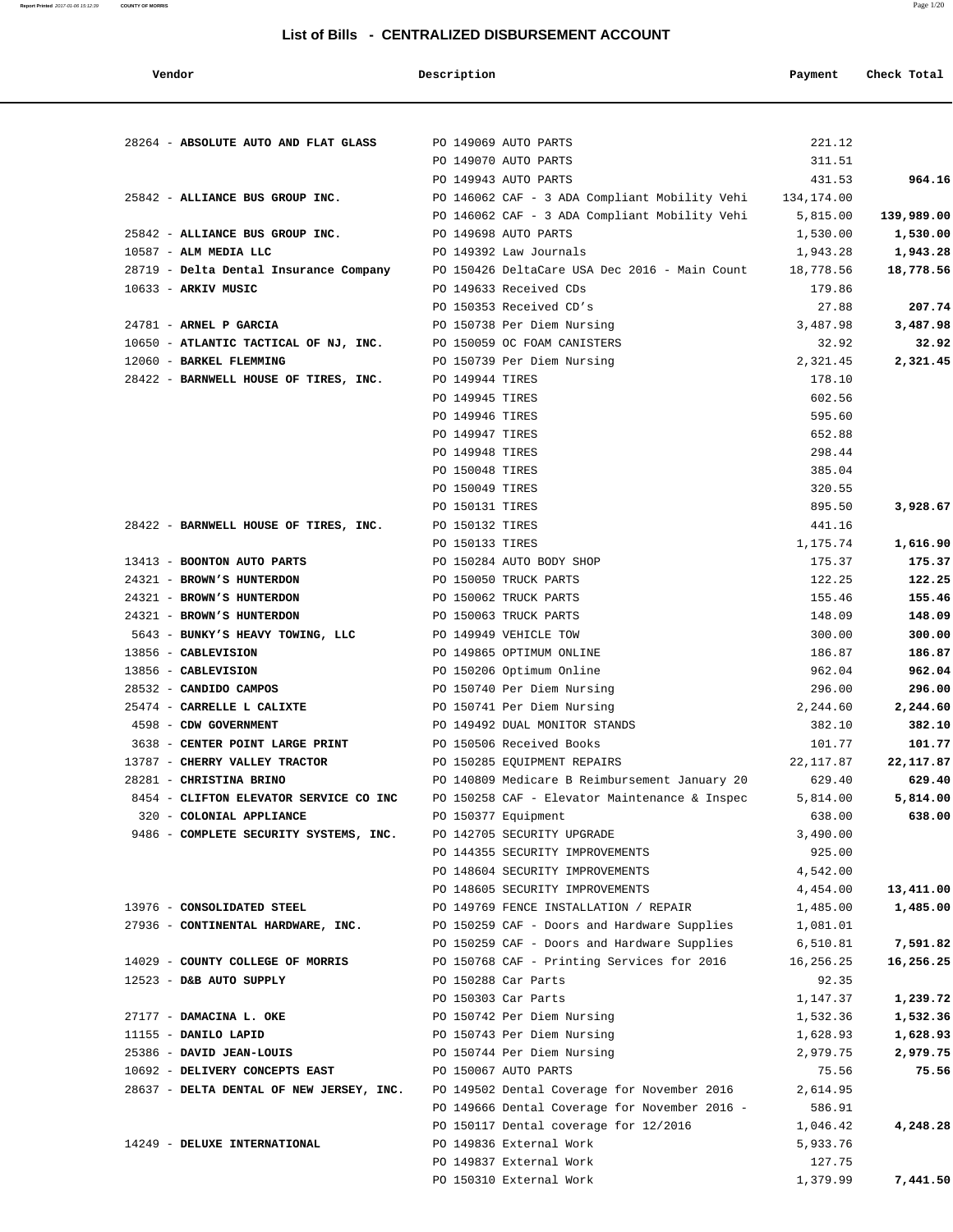### **List of Bills - CENTRALIZED DISBURSEMENT ACCOUNT**

### **Report Printed** 2017-01-06 15:12:39 **COUNTY OF MORRIS** Page 1/20

| Vendor                                   | Description     |                                                | Payment               | Check Total           |
|------------------------------------------|-----------------|------------------------------------------------|-----------------------|-----------------------|
|                                          |                 |                                                |                       |                       |
| 28264 - ABSOLUTE AUTO AND FLAT GLASS     |                 | PO 149069 AUTO PARTS                           | 221.12                |                       |
|                                          |                 | PO 149070 AUTO PARTS                           | 311.51                |                       |
|                                          |                 | PO 149943 AUTO PARTS                           | 431.53                | 964.16                |
| 25842 - ALLIANCE BUS GROUP INC.          |                 | PO 146062 CAF - 3 ADA Compliant Mobility Vehi  | 134,174.00            |                       |
| 25842 - ALLIANCE BUS GROUP INC.          |                 | PO 146062 CAF - 3 ADA Compliant Mobility Vehi  | 5,815.00              | 139,989.00            |
| $10587$ - ALM MEDIA LLC                  |                 | PO 149698 AUTO PARTS<br>PO 149392 Law Journals | 1,530.00              | 1,530.00              |
| 28719 - Delta Dental Insurance Company   |                 | PO 150426 DeltaCare USA Dec 2016 - Main Count  | 1,943.28<br>18,778.56 | 1,943.28<br>18,778.56 |
| 10633 - ARKIV MUSIC                      |                 | PO 149633 Received CDs                         | 179.86                |                       |
|                                          |                 | PO 150353 Received CD's                        | 27.88                 | 207.74                |
| 24781 - ARNEL P GARCIA                   |                 | PO 150738 Per Diem Nursing                     | 3,487.98              | 3,487.98              |
| 10650 - ATLANTIC TACTICAL OF NJ, INC.    |                 | PO 150059 OC FOAM CANISTERS                    | 32.92                 | 32.92                 |
| 12060 - BARKEL FLEMMING                  |                 | PO 150739 Per Diem Nursing                     | 2,321.45              | 2,321.45              |
| 28422 - BARNWELL HOUSE OF TIRES, INC.    | PO 149944 TIRES |                                                | 178.10                |                       |
|                                          | PO 149945 TIRES |                                                | 602.56                |                       |
|                                          | PO 149946 TIRES |                                                | 595.60                |                       |
|                                          | PO 149947 TIRES |                                                | 652.88                |                       |
|                                          | PO 149948 TIRES |                                                | 298.44                |                       |
|                                          | PO 150048 TIRES |                                                | 385.04                |                       |
|                                          | PO 150049 TIRES |                                                | 320.55                |                       |
|                                          | PO 150131 TIRES |                                                | 895.50                | 3,928.67              |
| 28422 - BARNWELL HOUSE OF TIRES, INC.    | PO 150132 TIRES |                                                | 441.16                |                       |
|                                          | PO 150133 TIRES |                                                | 1,175.74              | 1,616.90              |
| 13413 - BOONTON AUTO PARTS               |                 | PO 150284 AUTO BODY SHOP                       | 175.37                | 175.37                |
| 24321 - BROWN'S HUNTERDON                |                 | PO 150050 TRUCK PARTS                          | 122.25                | 122.25                |
| 24321 - BROWN'S HUNTERDON                |                 | PO 150062 TRUCK PARTS                          | 155.46                | 155.46                |
| 24321 - BROWN'S HUNTERDON                |                 | PO 150063 TRUCK PARTS                          | 148.09                | 148.09                |
| 5643 - BUNKY'S HEAVY TOWING, LLC         |                 | PO 149949 VEHICLE TOW                          | 300.00                | 300.00                |
| 13856 - CABLEVISION                      |                 | PO 149865 OPTIMUM ONLINE                       | 186.87                | 186.87                |
| 13856 - CABLEVISION                      |                 | PO 150206 Optimum Online                       | 962.04                | 962.04                |
| 28532 - CANDIDO CAMPOS                   |                 | PO 150740 Per Diem Nursing                     | 296.00                | 296.00                |
| 25474 - CARRELLE L CALIXTE               |                 | PO 150741 Per Diem Nursing                     | 2,244.60              | 2,244.60              |
| 4598 - CDW GOVERNMENT                    |                 | PO 149492 DUAL MONITOR STANDS                  | 382.10                | 382.10                |
| 3638 - CENTER POINT LARGE PRINT          |                 | PO 150506 Received Books                       | 101.77                | 101.77                |
| 13787 - CHERRY VALLEY TRACTOR            |                 | PO 150285 EQUIPMENT REPAIRS                    | 22, 117.87            | 22, 117.87            |
| 28281 - CHRISTINA BRINO                  |                 | PO 140809 Medicare B Reimbursement January 20  | 629.40                | 629.40                |
| 8454 - CLIFTON ELEVATOR SERVICE CO INC   |                 | PO 150258 CAF - Elevator Maintenance & Inspec  | 5,814.00              | 5,814.00              |
| 320 - COLONIAL APPLIANCE                 |                 | PO 150377 Equipment                            | 638.00                | 638.00                |
| 9486 - COMPLETE SECURITY SYSTEMS, INC.   |                 | PO 142705 SECURITY UPGRADE                     | 3,490.00              |                       |
|                                          |                 | PO 144355 SECURITY IMPROVEMENTS                | 925.00                |                       |
|                                          |                 | PO 148604 SECURITY IMPROVEMENTS                | 4,542.00              |                       |
|                                          |                 | PO 148605 SECURITY IMPROVEMENTS                | 4,454.00              | 13,411.00             |
| 13976 - CONSOLIDATED STEEL               |                 | PO 149769 FENCE INSTALLATION / REPAIR          | 1,485.00              | 1,485.00              |
| 27936 - CONTINENTAL HARDWARE, INC.       |                 | PO 150259 CAF - Doors and Hardware Supplies    | 1,081.01              |                       |
|                                          |                 | PO 150259 CAF - Doors and Hardware Supplies    | 6,510.81              | 7,591.82              |
| 14029 - COUNTY COLLEGE OF MORRIS         |                 | PO 150768 CAF - Printing Services for 2016     | 16,256.25             | 16,256.25             |
| 12523 - D&B AUTO SUPPLY                  |                 | PO 150288 Car Parts                            | 92.35                 |                       |
|                                          |                 | PO 150303 Car Parts                            | 1,147.37              | 1,239.72              |
| 27177 - DAMACINA L. OKE                  |                 | PO 150742 Per Diem Nursing                     | 1,532.36              | 1,532.36              |
| 11155 - DANILO LAPID                     |                 | PO 150743 Per Diem Nursing                     | 1,628.93              | 1,628.93              |
| 25386 - DAVID JEAN-LOUIS                 |                 | PO 150744 Per Diem Nursing                     | 2,979.75              | 2,979.75              |
| 10692 - DELIVERY CONCEPTS EAST           |                 | PO 150067 AUTO PARTS                           | 75.56                 | 75.56                 |
| 28637 - DELTA DENTAL OF NEW JERSEY, INC. |                 | PO 149502 Dental Coverage for November 2016    | 2,614.95              |                       |
|                                          |                 | PO 149666 Dental Coverage for November 2016 -  | 586.91                |                       |
|                                          |                 | PO 150117 Dental coverage for 12/2016          | 1,046.42              | 4,248.28              |
| 14249 - DELUXE INTERNATIONAL             |                 | PO 149836 External Work                        | 5,933.76              |                       |
|                                          |                 | PO 149837 External Work                        | 127.75                |                       |
|                                          |                 | PO 150310 External Work                        | 1,379.99              | 7,441.50              |
|                                          |                 |                                                |                       |                       |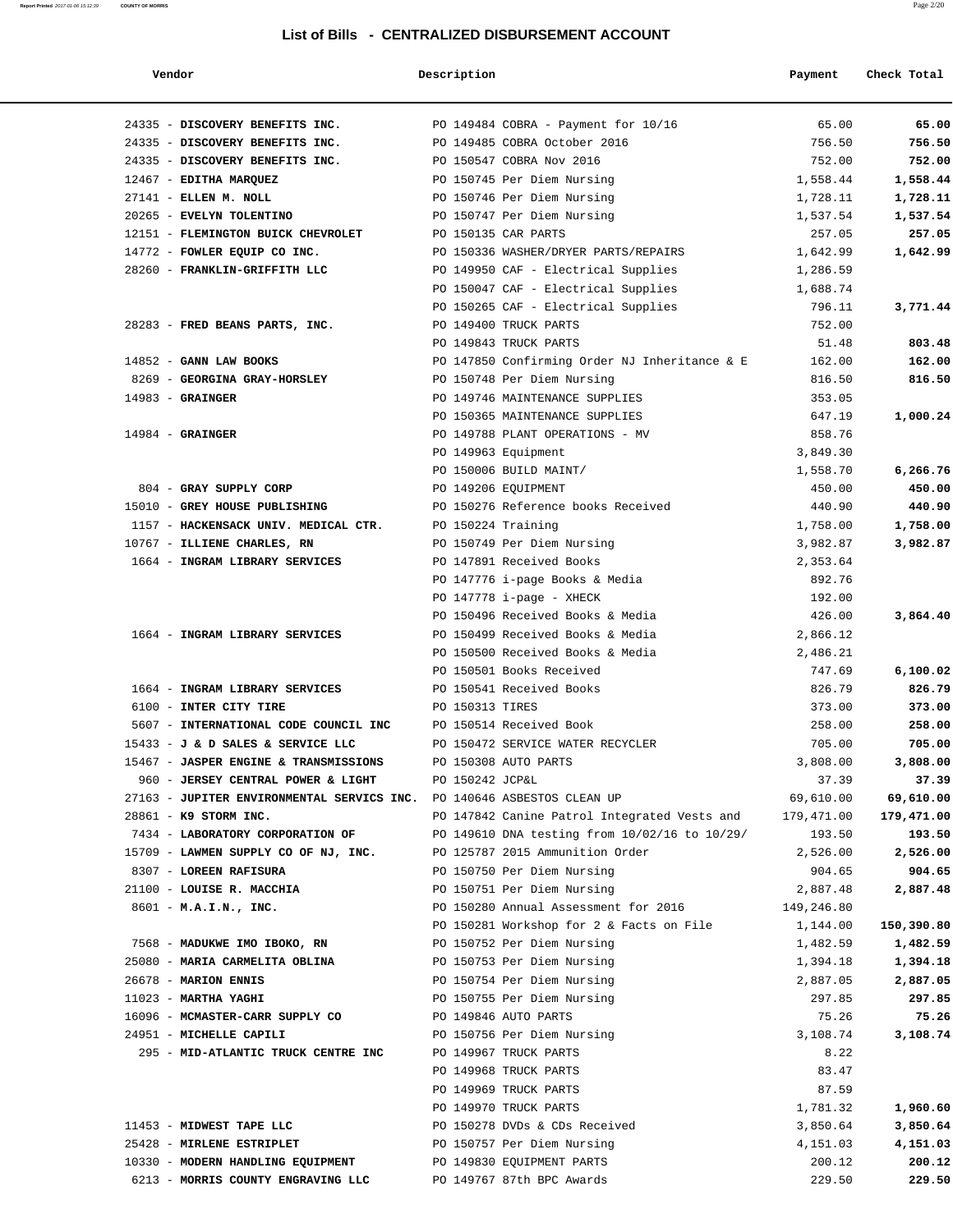### **List of Bills - CENTRALIZED DISBURSEMENT ACCOUNT**

| Vendor                                                                 | Description        |                                               | Payment    | Check Total |
|------------------------------------------------------------------------|--------------------|-----------------------------------------------|------------|-------------|
| 24335 - DISCOVERY BENEFITS INC.                                        |                    | PO 149484 COBRA - Payment for 10/16           | 65.00      | 65.00       |
| 24335 - DISCOVERY BENEFITS INC.                                        |                    | PO 149485 COBRA October 2016                  | 756.50     | 756.50      |
| 24335 - DISCOVERY BENEFITS INC.                                        |                    | PO 150547 COBRA Nov 2016                      | 752.00     | 752.00      |
| 12467 - EDITHA MARQUEZ                                                 |                    | PO 150745 Per Diem Nursing                    | 1,558.44   | 1,558.44    |
| 27141 - ELLEN M. NOLL                                                  |                    | PO 150746 Per Diem Nursing                    | 1,728.11   | 1,728.11    |
| 20265 - EVELYN TOLENTINO                                               |                    | PO 150747 Per Diem Nursing                    | 1,537.54   | 1,537.54    |
| 12151 - FLEMINGTON BUICK CHEVROLET                                     |                    | PO 150135 CAR PARTS                           | 257.05     | 257.05      |
| 14772 - FOWLER EQUIP CO INC.                                           |                    | PO 150336 WASHER/DRYER PARTS/REPAIRS          | 1,642.99   | 1,642.99    |
| 28260 - FRANKLIN-GRIFFITH LLC                                          |                    | PO 149950 CAF - Electrical Supplies           | 1,286.59   |             |
|                                                                        |                    | PO 150047 CAF - Electrical Supplies           | 1,688.74   |             |
|                                                                        |                    | PO 150265 CAF - Electrical Supplies           | 796.11     | 3,771.44    |
| 28283 - FRED BEANS PARTS, INC.                                         |                    | PO 149400 TRUCK PARTS                         | 752.00     |             |
|                                                                        |                    | PO 149843 TRUCK PARTS                         | 51.48      | 803.48      |
| $14852$ - GANN LAW BOOKS                                               |                    | PO 147850 Confirming Order NJ Inheritance & E | 162.00     | 162.00      |
| 8269 - GEORGINA GRAY-HORSLEY                                           |                    | PO 150748 Per Diem Nursing                    | 816.50     | 816.50      |
| $14983$ - GRAINGER                                                     |                    | PO 149746 MAINTENANCE SUPPLIES                | 353.05     |             |
|                                                                        |                    | PO 150365 MAINTENANCE SUPPLIES                | 647.19     | 1,000.24    |
| $14984$ - GRAINGER                                                     |                    | PO 149788 PLANT OPERATIONS - MV               | 858.76     |             |
|                                                                        |                    | PO 149963 Equipment                           | 3,849.30   |             |
|                                                                        |                    | PO 150006 BUILD MAINT/                        | 1,558.70   | 6,266.76    |
| 804 - GRAY SUPPLY CORP                                                 |                    | PO 149206 EQUIPMENT                           | 450.00     | 450.00      |
| 15010 - GREY HOUSE PUBLISHING                                          |                    | PO 150276 Reference books Received            | 440.90     | 440.90      |
| 1157 - HACKENSACK UNIV. MEDICAL CTR.                                   | PO 150224 Training |                                               | 1,758.00   | 1,758.00    |
| 10767 - ILLIENE CHARLES, RN                                            |                    | PO 150749 Per Diem Nursing                    | 3,982.87   | 3,982.87    |
| 1664 - INGRAM LIBRARY SERVICES                                         |                    | PO 147891 Received Books                      | 2,353.64   |             |
|                                                                        |                    | PO 147776 i-page Books & Media                | 892.76     |             |
|                                                                        |                    | PO $147778$ i-page - XHECK                    | 192.00     |             |
|                                                                        |                    | PO 150496 Received Books & Media              | 426.00     | 3,864.40    |
| 1664 - INGRAM LIBRARY SERVICES                                         |                    | PO 150499 Received Books & Media              | 2,866.12   |             |
|                                                                        |                    | PO 150500 Received Books & Media              | 2,486.21   |             |
|                                                                        |                    | PO 150501 Books Received                      | 747.69     | 6,100.02    |
| 1664 - INGRAM LIBRARY SERVICES                                         |                    | PO 150541 Received Books                      | 826.79     | 826.79      |
| 6100 - INTER CITY TIRE                                                 | PO 150313 TIRES    |                                               | 373.00     | 373.00      |
| 5607 - INTERNATIONAL CODE COUNCIL INC                                  |                    | PO 150514 Received Book                       | 258.00     | 258.00      |
| 15433 - J & D SALES & SERVICE LLC                                      |                    | PO 150472 SERVICE WATER RECYCLER              | 705.00     | 705.00      |
| 15467 - JASPER ENGINE & TRANSMISSIONS                                  |                    | PO 150308 AUTO PARTS                          | 3,808.00   | 3,808.00    |
| 960 - JERSEY CENTRAL POWER & LIGHT                                     | PO 150242 JCP&L    |                                               | 37.39      | 37.39       |
| 27163 - JUPITER ENVIRONMENTAL SERVICS INC. PO 140646 ASBESTOS CLEAN UP |                    |                                               | 69,610.00  | 69,610.00   |
| 28861 - K9 STORM INC.                                                  |                    | PO 147842 Canine Patrol Integrated Vests and  | 179,471.00 | 179,471.00  |
| 7434 - LABORATORY CORPORATION OF                                       |                    | PO 149610 DNA testing from 10/02/16 to 10/29/ | 193.50     | 193.50      |
| 15709 - LAWMEN SUPPLY CO OF NJ, INC.                                   |                    | PO 125787 2015 Ammunition Order               | 2,526.00   | 2,526.00    |
| 8307 - LOREEN RAFISURA                                                 |                    | PO 150750 Per Diem Nursing                    | 904.65     | 904.65      |
| 21100 - LOUISE R. MACCHIA                                              |                    | PO 150751 Per Diem Nursing                    | 2,887.48   | 2,887.48    |
| 8601 - M.A.I.N., INC.                                                  |                    | PO 150280 Annual Assessment for 2016          | 149,246.80 |             |
|                                                                        |                    | PO 150281 Workshop for 2 & Facts on File      | 1,144.00   | 150,390.80  |
| 7568 - MADUKWE IMO IBOKO, RN                                           |                    | PO 150752 Per Diem Nursing                    | 1,482.59   | 1,482.59    |
| 25080 - MARIA CARMELITA OBLINA                                         |                    | PO 150753 Per Diem Nursing                    | 1,394.18   | 1,394.18    |
| 26678 - MARION ENNIS                                                   |                    | PO 150754 Per Diem Nursing                    | 2,887.05   | 2,887.05    |
| $11023$ - MARTHA YAGHI                                                 |                    | PO 150755 Per Diem Nursing                    | 297.85     | 297.85      |
| 16096 - MCMASTER-CARR SUPPLY CO                                        |                    | PO 149846 AUTO PARTS                          | 75.26      | 75.26       |
| 24951 - MICHELLE CAPILI                                                |                    | PO 150756 Per Diem Nursing                    | 3,108.74   | 3,108.74    |
| 295 - MID-ATLANTIC TRUCK CENTRE INC                                    |                    | PO 149967 TRUCK PARTS                         | 8.22       |             |
|                                                                        |                    | PO 149968 TRUCK PARTS                         | 83.47      |             |
|                                                                        |                    | PO 149969 TRUCK PARTS                         | 87.59      |             |
|                                                                        |                    | PO 149970 TRUCK PARTS                         | 1,781.32   | 1,960.60    |
| 11453 - MIDWEST TAPE LLC                                               |                    | PO 150278 DVDs & CDs Received                 | 3,850.64   | 3,850.64    |
| 25428 - MIRLENE ESTRIPLET                                              |                    | PO 150757 Per Diem Nursing                    | 4,151.03   | 4,151.03    |
| 10330 - MODERN HANDLING EQUIPMENT                                      |                    | PO 149830 EQUIPMENT PARTS                     | 200.12     | 200.12      |
| 6213 - MORRIS COUNTY ENGRAVING LLC                                     |                    | PO 149767 87th BPC Awards                     | 229.50     | 229.50      |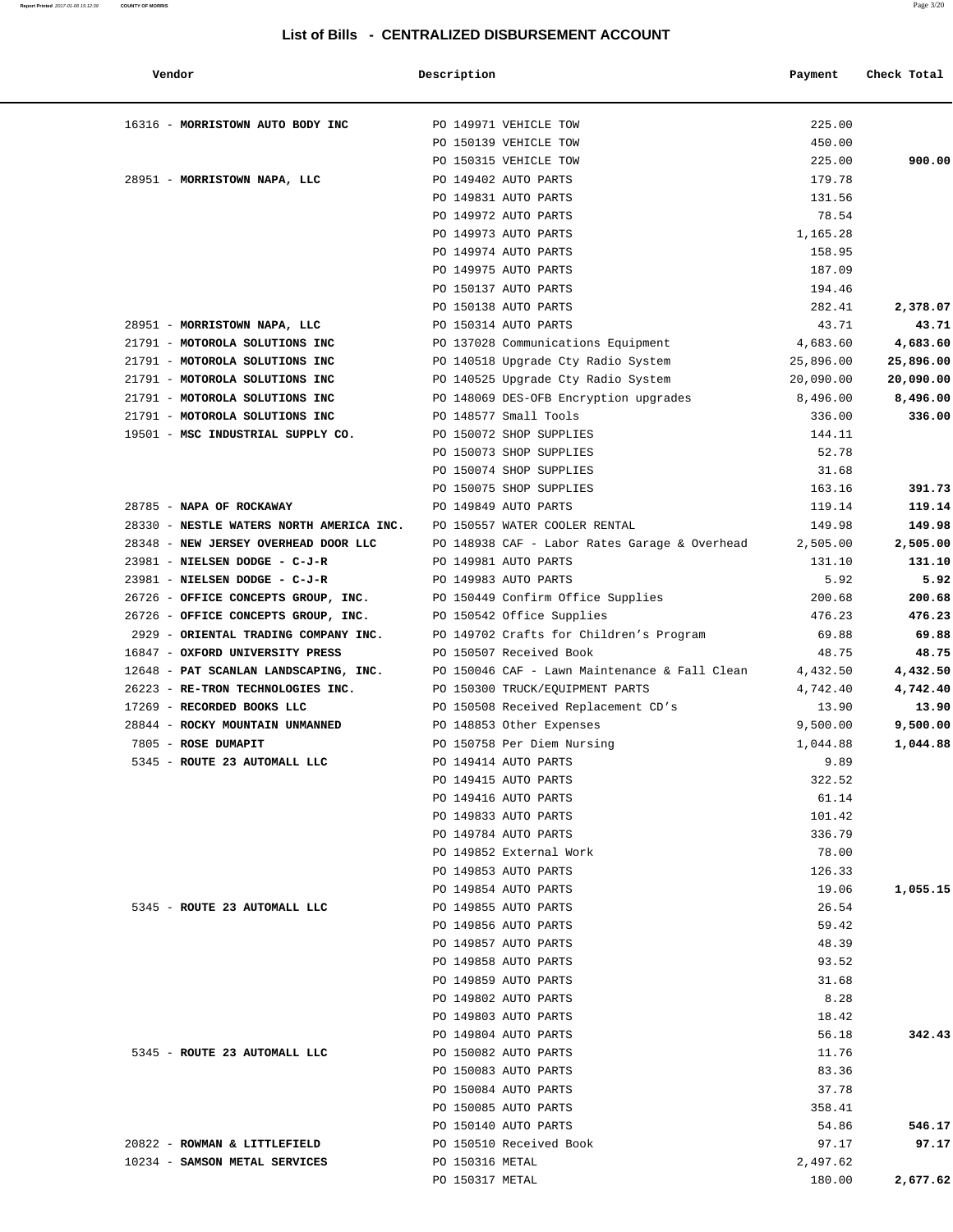### **Report Printed** 2017-01-06 15:12:39 **COUNTY OF MORRIS** Page 3/20

### **List of Bills - CENTRALIZED DISBURSEMENT ACCOUNT**

| Vendor                                                                 | Description           |                                               | Payment        | Check Total |
|------------------------------------------------------------------------|-----------------------|-----------------------------------------------|----------------|-------------|
| 16316 - MORRISTOWN AUTO BODY INC                                       | PO 149971 VEHICLE TOW |                                               | 225.00         |             |
|                                                                        |                       | PO 150139 VEHICLE TOW                         | 450.00         |             |
|                                                                        |                       | PO 150315 VEHICLE TOW                         | 225.00         | 900.00      |
| 28951 - MORRISTOWN NAPA, LLC                                           |                       | PO 149402 AUTO PARTS                          | 179.78         |             |
|                                                                        |                       | PO 149831 AUTO PARTS                          | 131.56         |             |
|                                                                        |                       | PO 149972 AUTO PARTS                          | 78.54          |             |
|                                                                        |                       | PO 149973 AUTO PARTS                          | 1,165.28       |             |
|                                                                        |                       | PO 149974 AUTO PARTS                          | 158.95         |             |
|                                                                        |                       | PO 149975 AUTO PARTS                          | 187.09         |             |
|                                                                        |                       | PO 150137 AUTO PARTS                          | 194.46         |             |
|                                                                        |                       | PO 150138 AUTO PARTS                          | 282.41         | 2,378.07    |
| 28951 - MORRISTOWN NAPA, LLC                                           |                       | PO 150314 AUTO PARTS                          | 43.71          | 43.71       |
| 21791 - MOTOROLA SOLUTIONS INC                                         |                       | PO 137028 Communications Equipment            | 4,683.60       | 4,683.60    |
| 21791 - MOTOROLA SOLUTIONS INC                                         |                       | PO 140518 Upgrade Cty Radio System            | 25,896.00      | 25,896.00   |
| 21791 - MOTOROLA SOLUTIONS INC                                         |                       | PO 140525 Upgrade Cty Radio System            | 20,090.00      | 20,090.00   |
| 21791 - MOTOROLA SOLUTIONS INC                                         |                       | PO 148069 DES-OFB Encryption upgrades         | 8,496.00       | 8,496.00    |
| 21791 - MOTOROLA SOLUTIONS INC                                         |                       | PO 148577 Small Tools                         | 336.00         | 336.00      |
| 19501 - MSC INDUSTRIAL SUPPLY CO.                                      |                       | PO 150072 SHOP SUPPLIES                       | 144.11         |             |
|                                                                        |                       | PO 150073 SHOP SUPPLIES                       | 52.78          |             |
|                                                                        |                       | PO 150074 SHOP SUPPLIES                       | 31.68          |             |
|                                                                        |                       | PO 150075 SHOP SUPPLIES                       | 163.16         | 391.73      |
| 28785 - NAPA OF ROCKAWAY                                               |                       | PO 149849 AUTO PARTS                          | 119.14         | 119.14      |
| 28330 - NESTLE WATERS NORTH AMERICA INC. PO 150557 WATER COOLER RENTAL |                       |                                               | 149.98         | 149.98      |
| 28348 - NEW JERSEY OVERHEAD DOOR LLC                                   |                       | PO 148938 CAF – Labor Rates Garage & Overhead | 2,505.00       | 2,505.00    |
| 23981 - NIELSEN DODGE - C-J-R                                          |                       | PO 149981 AUTO PARTS                          | 131.10         | 131.10      |
| 23981 - NIELSEN DODGE - C-J-R                                          |                       | PO 149983 AUTO PARTS                          | 5.92           | 5.92        |
| 26726 - OFFICE CONCEPTS GROUP, INC.                                    |                       | PO 150449 Confirm Office Supplies             | 200.68         | 200.68      |
| 26726 - OFFICE CONCEPTS GROUP, INC.                                    |                       | PO 150542 Office Supplies                     | 476.23         | 476.23      |
| 2929 - ORIENTAL TRADING COMPANY INC.                                   |                       | PO 149702 Crafts for Children's Program       | 69.88          | 69.88       |
| 16847 - OXFORD UNIVERSITY PRESS                                        |                       | PO 150507 Received Book                       | 48.75          | 48.75       |
| 12648 - PAT SCANLAN LANDSCAPING, INC.                                  |                       | PO 150046 CAF - Lawn Maintenance & Fall Clean | 4,432.50       | 4,432.50    |
| 26223 - RE-TRON TECHNOLOGIES INC.                                      |                       | PO 150300 TRUCK/EQUIPMENT PARTS               | 4,742.40       | 4,742.40    |
| 17269 - RECORDED BOOKS LLC                                             |                       | PO 150508 Received Replacement CD's           | 13.90          | 13.90       |
| 28844 - ROCKY MOUNTAIN UNMANNED                                        |                       | PO 148853 Other Expenses                      | 9,500.00       | 9,500.00    |
| 7805 - ROSE DUMAPIT                                                    |                       | PO 150758 Per Diem Nursing                    | 1,044.88       | 1,044.88    |
| 5345 - ROUTE 23 AUTOMALL LLC                                           |                       | PO 149414 AUTO PARTS                          | 9.89           |             |
|                                                                        |                       | PO 149415 AUTO PARTS                          | 322.52         |             |
|                                                                        |                       | PO 149416 AUTO PARTS                          | 61.14          |             |
|                                                                        |                       | PO 149833 AUTO PARTS                          | 101.42         |             |
|                                                                        |                       | PO 149784 AUTO PARTS                          | 336.79         |             |
|                                                                        |                       | PO 149852 External Work                       | 78.00          |             |
|                                                                        |                       | PO 149853 AUTO PARTS                          | 126.33         |             |
|                                                                        |                       | PO 149854 AUTO PARTS                          | 19.06          | 1,055.15    |
| 5345 - ROUTE 23 AUTOMALL LLC                                           |                       | PO 149855 AUTO PARTS                          | 26.54          |             |
|                                                                        |                       | PO 149856 AUTO PARTS                          | 59.42          |             |
|                                                                        |                       | PO 149857 AUTO PARTS                          | 48.39          |             |
|                                                                        |                       | PO 149858 AUTO PARTS                          | 93.52          |             |
|                                                                        |                       | PO 149859 AUTO PARTS                          | 31.68          |             |
|                                                                        |                       | PO 149802 AUTO PARTS                          | 8.28           |             |
|                                                                        |                       | PO 149803 AUTO PARTS<br>PO 149804 AUTO PARTS  | 18.42<br>56.18 | 342.43      |
|                                                                        |                       |                                               |                |             |
| 5345 - ROUTE 23 AUTOMALL LLC                                           |                       | PO 150082 AUTO PARTS<br>PO 150083 AUTO PARTS  | 11.76<br>83.36 |             |
|                                                                        |                       | PO 150084 AUTO PARTS                          | 37.78          |             |
|                                                                        |                       | PO 150085 AUTO PARTS                          | 358.41         |             |
|                                                                        |                       | PO 150140 AUTO PARTS                          | 54.86          | 546.17      |
| 20822 - ROWMAN & LITTLEFIELD                                           |                       | PO 150510 Received Book                       | 97.17          | 97.17       |
| 10234 - SAMSON METAL SERVICES                                          | PO 150316 METAL       |                                               | 2,497.62       |             |
|                                                                        | PO 150317 METAL       |                                               | 180.00         | 2,677.62    |
|                                                                        |                       |                                               |                |             |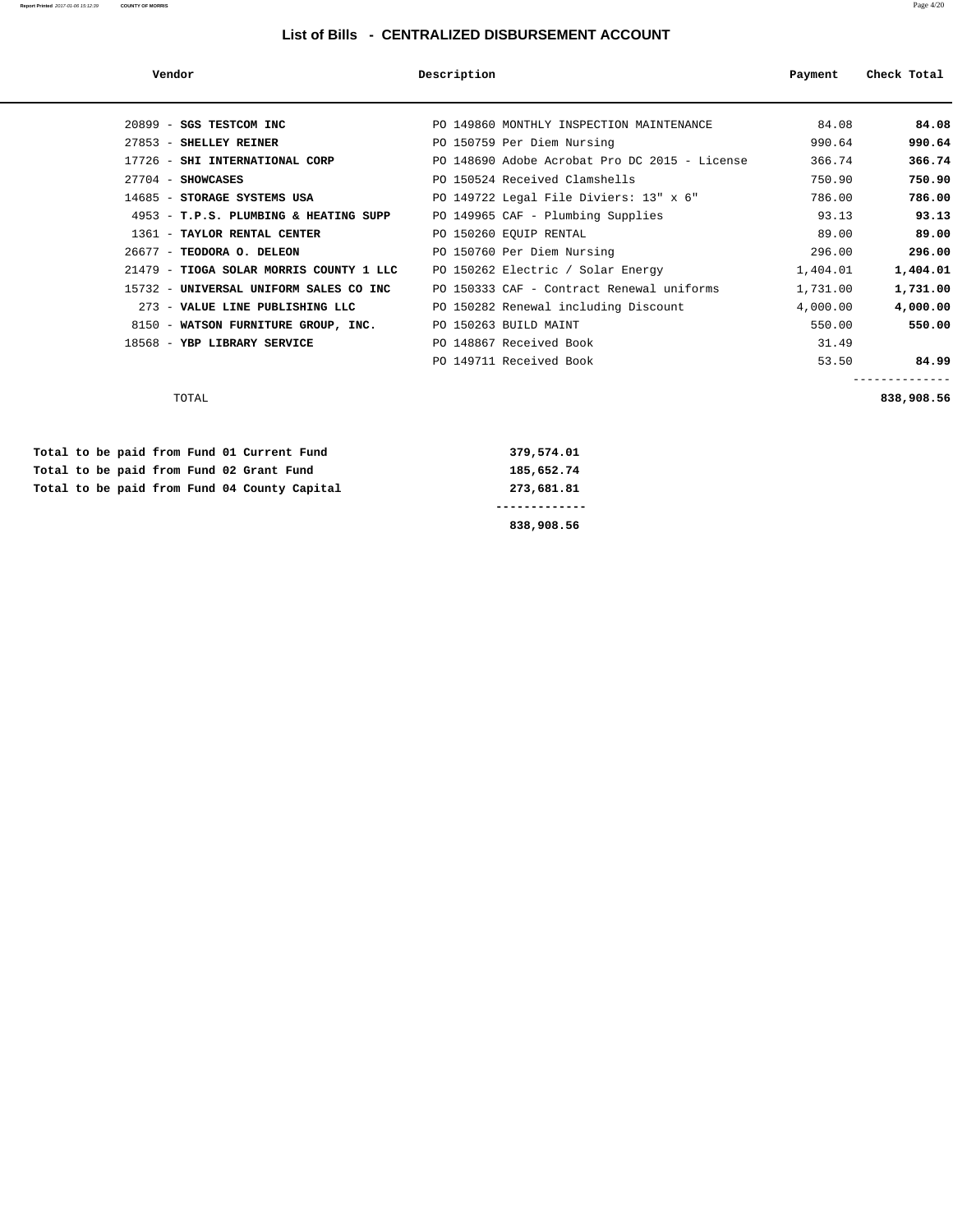### **Report Printed** 2017-01-06 15:12:39 **COUNTY OF MORRIS** Page 4/20

### **List of Bills - CENTRALIZED DISBURSEMENT ACCOUNT**

| Vendor                                  | Description                                   | Payment  | Check Total |
|-----------------------------------------|-----------------------------------------------|----------|-------------|
| 20899 - SGS TESTCOM INC                 | PO 149860 MONTHLY INSPECTION MAINTENANCE      | 84.08    | 84.08       |
| 27853 - SHELLEY REINER                  | PO 150759 Per Diem Nursing                    | 990.64   | 990.64      |
| 17726 - SHI INTERNATIONAL CORP          | PO 148690 Adobe Acrobat Pro DC 2015 - License | 366.74   | 366.74      |
| $27704$ - SHOWCASES                     | PO 150524 Received Clamshells                 | 750.90   | 750.90      |
| 14685 - STORAGE SYSTEMS USA             | PO 149722 Legal File Diviers: 13" x 6"        | 786.00   | 786.00      |
| 4953 - T.P.S. PLUMBING & HEATING SUPP   | PO 149965 CAF - Plumbing Supplies             | 93.13    | 93.13       |
| 1361 - TAYLOR RENTAL CENTER             | PO 150260 EQUIP RENTAL                        | 89.00    | 89.00       |
| 26677 - TEODORA O. DELEON               | PO 150760 Per Diem Nursing                    | 296.00   | 296.00      |
| 21479 - TIOGA SOLAR MORRIS COUNTY 1 LLC | PO 150262 Electric / Solar Energy             | 1,404.01 | 1,404.01    |
| 15732 - UNIVERSAL UNIFORM SALES CO INC  | PO 150333 CAF - Contract Renewal uniforms     | 1,731.00 | 1,731.00    |
| 273 - VALUE LINE PUBLISHING LLC         | PO 150282 Renewal including Discount          | 4,000.00 | 4,000.00    |
| 8150 - WATSON FURNITURE GROUP, INC.     | PO 150263 BUILD MAINT                         | 550.00   | 550.00      |
| 18568 - YBP LIBRARY SERVICE             | PO 148867 Received Book                       | 31.49    |             |
|                                         | PO 149711 Received Book                       | 53.50    | 84.99       |
|                                         |                                               |          |             |

| TOTAL | 838,908.56<br>.<br>. |
|-------|----------------------|

|  |  |  |  | Total to be paid from Fund 04 County Capital | 273,681.81 |  |
|--|--|--|--|----------------------------------------------|------------|--|
|  |  |  |  | Total to be paid from Fund 02 Grant Fund     | 185,652.74 |  |
|  |  |  |  | Total to be paid from Fund 01 Current Fund   | 379,574.01 |  |

 **838,908.56**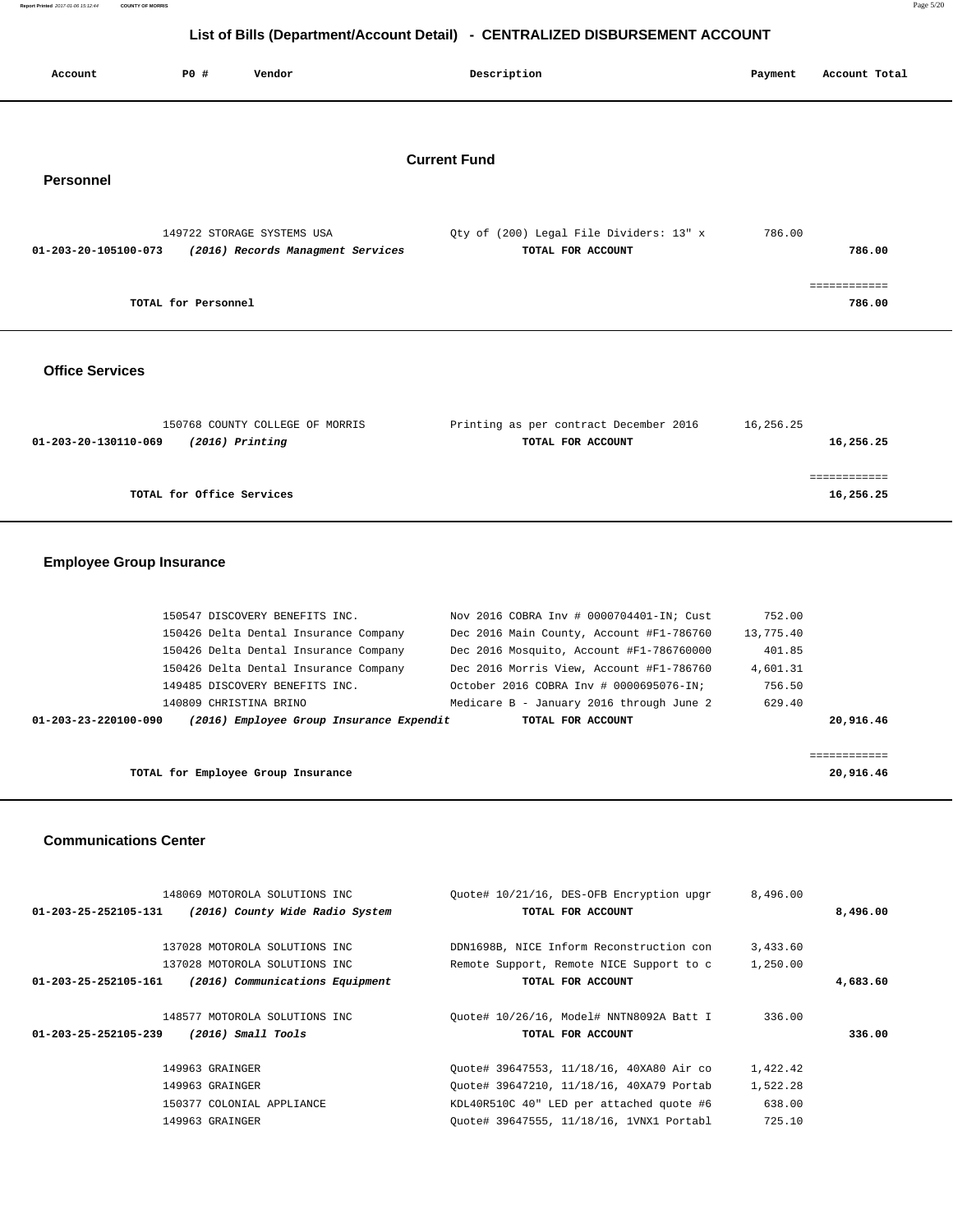|         |     |        | List of Bills (Department/Account Detail) - CENTRALIZED DISBURSEMENT ACCOUNT |         |               |  |
|---------|-----|--------|------------------------------------------------------------------------------|---------|---------------|--|
| Account | P0# | Vendor | Description                                                                  | Payment | Account Total |  |

# **Current Fund**

# **Personnel**

| 149722 STORAGE SYSTEMS USA                                | Oty of (200) Legal File Dividers: 13" x | 786.00 |
|-----------------------------------------------------------|-----------------------------------------|--------|
| (2016) Records Managment Services<br>01-203-20-105100-073 | TOTAL FOR ACCOUNT                       | 786.00 |
|                                                           |                                         |        |
|                                                           |                                         |        |
| TOTAL for Personnel                                       |                                         | 786.00 |

### **Office Services**

| 150768 COUNTY COLLEGE OF MORRIS           | Printing as per contract December 2016 | 16,256.25 |
|-------------------------------------------|----------------------------------------|-----------|
| $(2016)$ Printing<br>01-203-20-130110-069 | TOTAL FOR ACCOUNT                      | 16,256.25 |
|                                           |                                        |           |
|                                           |                                        |           |
| TOTAL for Office Services                 |                                        | 16,256.25 |

# **Employee Group Insurance**

|                                    | 150426 Delta Dental Insurance Company    | Dec 2016 Main County, Account #F1-786760 | 13,775.40 |              |
|------------------------------------|------------------------------------------|------------------------------------------|-----------|--------------|
|                                    | 150426 Delta Dental Insurance Company    | Dec 2016 Mosquito, Account #F1-786760000 | 401.85    |              |
|                                    | 150426 Delta Dental Insurance Company    | Dec 2016 Morris View, Account #F1-786760 | 4,601.31  |              |
|                                    | 149485 DISCOVERY BENEFITS INC.           | October 2016 COBRA Inv # 0000695076-IN;  | 756.50    |              |
|                                    | 140809 CHRISTINA BRINO                   | Medicare B - January 2016 through June 2 | 629.40    |              |
| 01-203-23-220100-090               | (2016) Employee Group Insurance Expendit | TOTAL FOR ACCOUNT                        |           | 20,916.46    |
|                                    |                                          |                                          |           |              |
|                                    |                                          |                                          |           | ============ |
| TOTAL for Employee Group Insurance |                                          | 20,916.46                                |           |              |

### **Communications Center**

|                                | 148069 MOTOROLA SOLUTIONS INC   | Ouote# 10/21/16, DES-OFB Encryption upgr | 8,496.00 |          |
|--------------------------------|---------------------------------|------------------------------------------|----------|----------|
| $01 - 203 - 25 - 252105 - 131$ | (2016) County Wide Radio System | TOTAL FOR ACCOUNT                        |          | 8,496.00 |
|                                |                                 |                                          |          |          |
|                                | 137028 MOTOROLA SOLUTIONS INC   | DDN1698B, NICE Inform Reconstruction con | 3,433.60 |          |
|                                | 137028 MOTOROLA SOLUTIONS INC   | Remote Support, Remote NICE Support to c | 1,250.00 |          |
| $01 - 203 - 25 - 252105 - 161$ | (2016) Communications Equipment | TOTAL FOR ACCOUNT                        |          | 4,683.60 |
|                                | 148577 MOTOROLA SOLUTIONS INC   | Ouote# 10/26/16, Model# NNTN8092A Batt I | 336.00   |          |
| $01 - 203 - 25 - 252105 - 239$ | $(2016)$ Small Tools            | TOTAL FOR ACCOUNT                        |          | 336.00   |
|                                | 149963 GRAINGER                 | Ouote# 39647553, 11/18/16, 40XA80 Air co | 1,422.42 |          |
|                                | 149963 GRAINGER                 | Ouote# 39647210, 11/18/16, 40XA79 Portab | 1,522.28 |          |
|                                | 150377 COLONIAL APPLIANCE       | KDL40R510C 40" LED per attached quote #6 | 638.00   |          |
|                                | 149963 GRAINGER                 | Ouote# 39647555, 11/18/16, 1VNX1 Portabl | 725.10   |          |
|                                |                                 |                                          |          |          |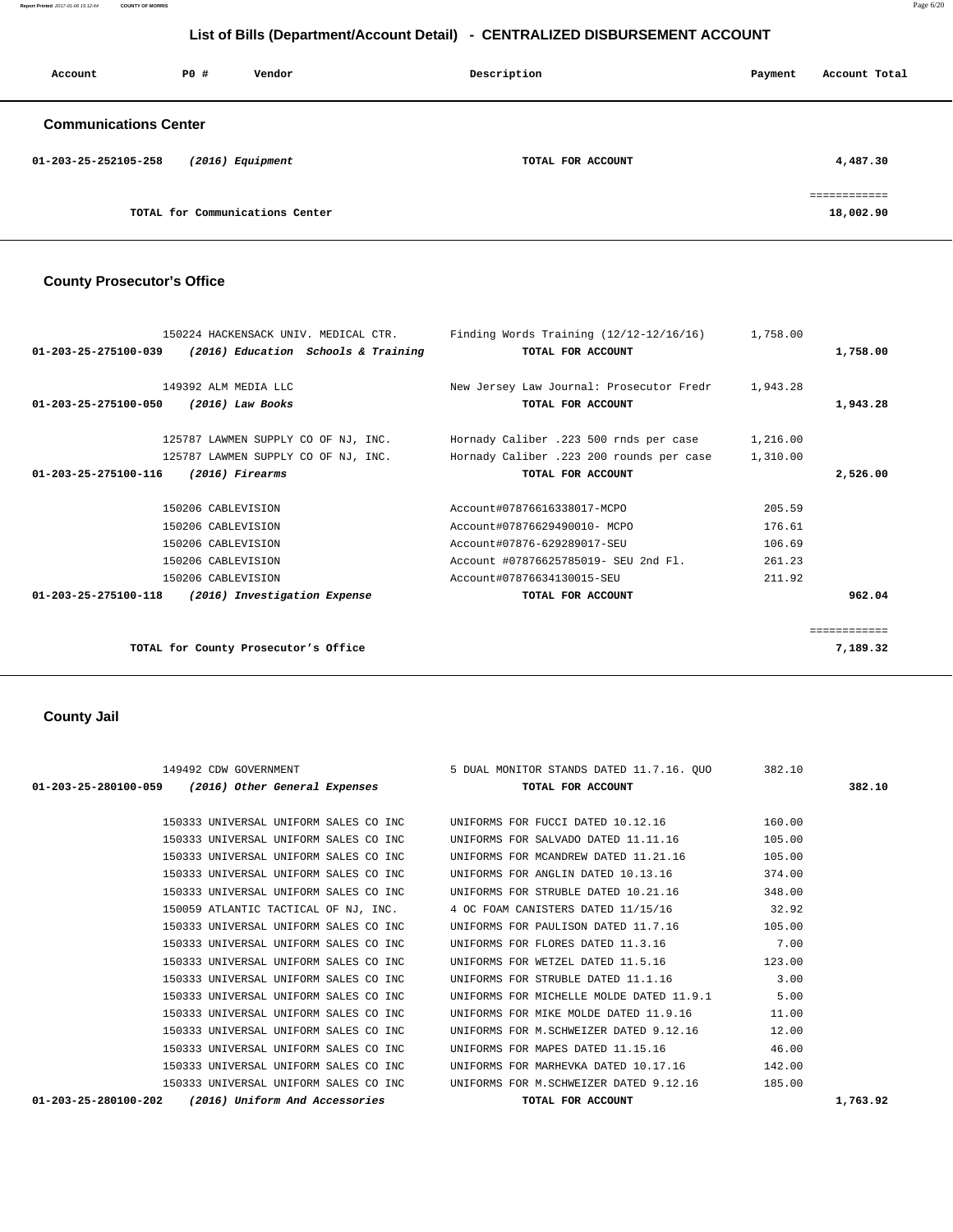**Report Printed** 2017-01-06 15:12:44 **COUNTY OF MORRIS** Page 6/20

# **List of Bills (Department/Account Detail) - CENTRALIZED DISBURSEMENT ACCOUNT**

| Account                      | PO# | Vendor                          | Description       | Payment | Account Total            |
|------------------------------|-----|---------------------------------|-------------------|---------|--------------------------|
| <b>Communications Center</b> |     |                                 |                   |         |                          |
| 01-203-25-252105-258         |     | $(2016)$ Equipment              | TOTAL FOR ACCOUNT |         | 4,487.30                 |
|                              |     | TOTAL for Communications Center |                   |         | ===========<br>18,002.90 |

# **County Prosecutor's Office**

| 150224 HACKENSACK UNIV. MEDICAL CTR.                           |                                     | Finding Words Training $(12/12-12/16/16)$ | 1,758.00 |              |
|----------------------------------------------------------------|-------------------------------------|-------------------------------------------|----------|--------------|
| 01-203-25-275100-039                                           | (2016) Education Schools & Training | TOTAL FOR ACCOUNT                         |          | 1,758.00     |
| 149392 ALM MEDIA LLC                                           |                                     | New Jersey Law Journal: Prosecutor Fredr  | 1,943.28 |              |
| $(2016)$ Law Books<br>01-203-25-275100-050                     |                                     | TOTAL FOR ACCOUNT                         |          | 1,943.28     |
| 125787 LAWMEN SUPPLY CO OF NJ, INC.                            |                                     | Hornady Caliber .223 500 rnds per case    | 1,216.00 |              |
| 125787 LAWMEN SUPPLY CO OF NJ, INC.                            |                                     | Hornady Caliber .223 200 rounds per case  | 1,310.00 |              |
| $(2016)$ Firearms<br>01-203-25-275100-116                      |                                     | TOTAL FOR ACCOUNT                         |          | 2,526.00     |
| 150206 CABLEVISION                                             |                                     | Account#07876616338017-MCPO               | 205.59   |              |
| 150206 CABLEVISION                                             |                                     | Account#07876629490010- MCPO              | 176.61   |              |
| 150206 CABLEVISION                                             |                                     | Account#07876-629289017-SEU               | 106.69   |              |
| 150206 CABLEVISION                                             |                                     | Account #07876625785019- SEU 2nd Fl.      | 261.23   |              |
| 150206 CABLEVISION                                             |                                     | Account#07876634130015-SEU                | 211.92   |              |
| $01 - 203 - 25 - 275100 - 118$<br>(2016) Investigation Expense |                                     | TOTAL FOR ACCOUNT                         |          | 962.04       |
|                                                                |                                     |                                           |          | ============ |
| TOTAL for County Prosecutor's Office                           |                                     |                                           |          | 7,189.32     |

 **County Jail** 

|                                                    | 149492 CDW GOVERNMENT |                                       | 5 DUAL MONITOR STANDS DATED 11.7.16. QUO                                     | 382.10 |          |
|----------------------------------------------------|-----------------------|---------------------------------------|------------------------------------------------------------------------------|--------|----------|
| 01-203-25-280100-059 (2016) Other General Expenses |                       |                                       | TOTAL FOR ACCOUNT                                                            |        | 382.10   |
|                                                    |                       |                                       | 150333 UNIVERSAL UNIFORM SALES CO INC UNIFORMS FOR FUCCI DATED 10.12.16      | 160.00 |          |
|                                                    |                       | 150333 UNIVERSAL UNIFORM SALES CO INC | UNIFORMS FOR SALVADO DATED 11.11.16                                          | 105.00 |          |
|                                                    |                       | 150333 UNIVERSAL UNIFORM SALES CO INC | UNIFORMS FOR MCANDREW DATED 11.21.16                                         | 105.00 |          |
|                                                    |                       | 150333 UNIVERSAL UNIFORM SALES CO INC | UNIFORMS FOR ANGLIN DATED 10.13.16                                           | 374.00 |          |
|                                                    |                       |                                       | 150333 UNIVERSAL UNIFORM SALES CO INC UNIFORMS FOR STRUBLE DATED 10.21.16    | 348.00 |          |
|                                                    |                       |                                       | 150059 ATLANTIC TACTICAL OF NJ, INC. 4 OC FOAM CANISTERS DATED 11/15/16      | 32.92  |          |
|                                                    |                       | 150333 UNIVERSAL UNIFORM SALES CO INC | UNIFORMS FOR PAULISON DATED 11.7.16                                          | 105.00 |          |
|                                                    |                       | 150333 UNIVERSAL UNIFORM SALES CO INC | UNIFORMS FOR FLORES DATED 11.3.16                                            | 7.00   |          |
|                                                    |                       | 150333 UNIVERSAL UNIFORM SALES CO INC | UNIFORMS FOR WETZEL DATED 11.5.16                                            | 123.00 |          |
|                                                    |                       | 150333 UNIVERSAL UNIFORM SALES CO INC | UNIFORMS FOR STRUBLE DATED 11.1.16                                           | 3.00   |          |
|                                                    |                       | 150333 UNIVERSAL UNIFORM SALES CO INC | UNIFORMS FOR MICHELLE MOLDE DATED 11.9.1                                     | 5.00   |          |
|                                                    |                       | 150333 UNIVERSAL UNIFORM SALES CO INC | UNIFORMS FOR MIKE MOLDE DATED 11.9.16                                        | 11.00  |          |
|                                                    |                       | 150333 UNIVERSAL UNIFORM SALES CO INC | UNIFORMS FOR M.SCHWEIZER DATED 9.12.16                                       | 12.00  |          |
|                                                    |                       | 150333 UNIVERSAL UNIFORM SALES CO INC | UNIFORMS FOR MAPES DATED 11.15.16                                            | 46.00  |          |
|                                                    |                       | 150333 UNIVERSAL UNIFORM SALES CO INC | UNIFORMS FOR MARHEVKA DATED 10.17.16                                         | 142.00 |          |
|                                                    |                       |                                       | 150333 UNIVERSAL UNIFORM SALES CO INC UNIFORMS FOR M.SCHWEIZER DATED 9.12.16 | 185.00 |          |
| $01 - 203 - 25 - 280100 - 202$                     |                       | (2016) Uniform And Accessories        | TOTAL FOR ACCOUNT                                                            |        | 1,763.92 |
|                                                    |                       |                                       |                                                                              |        |          |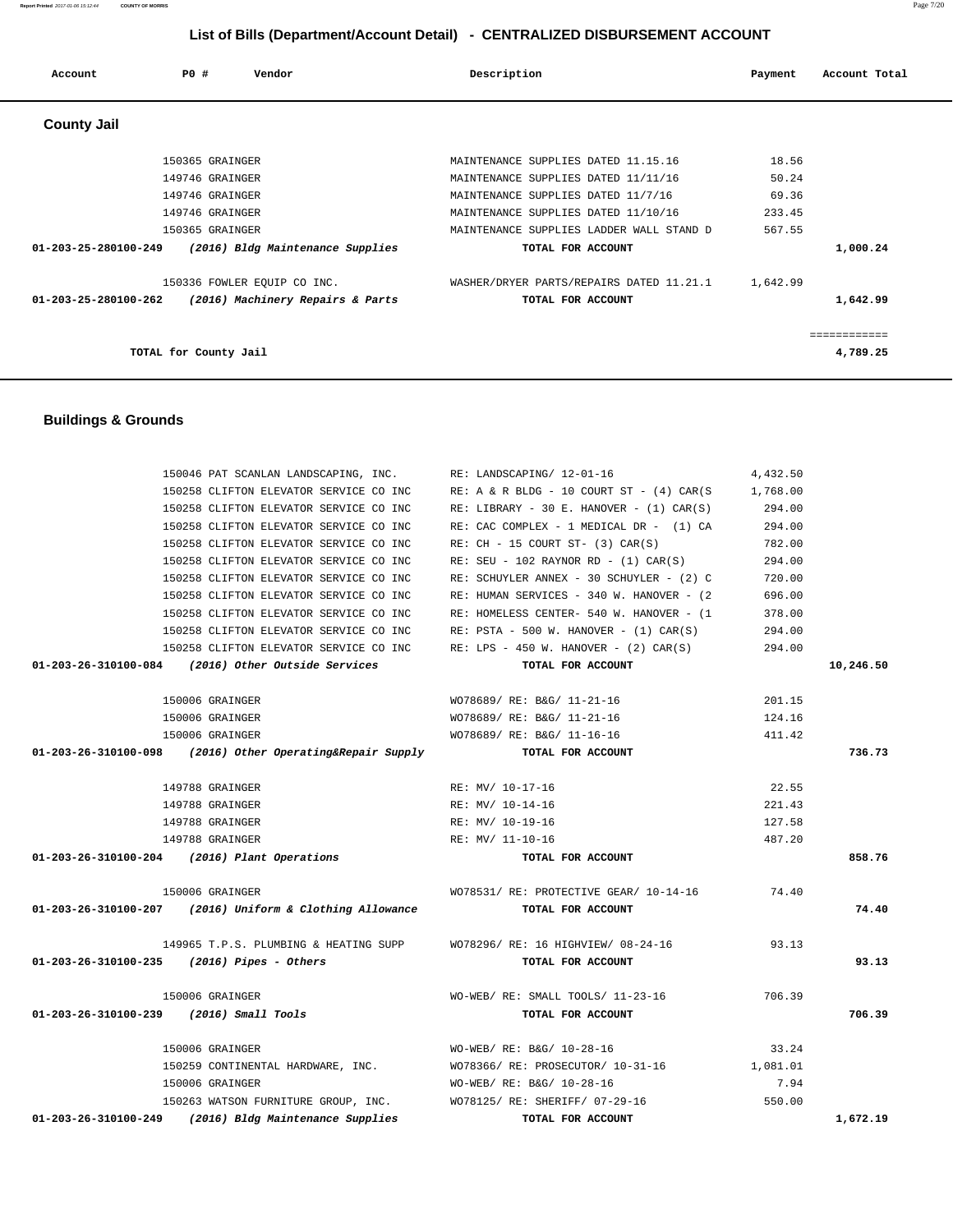| 150258 CLIFTON ELEVATOR SERVICE CO INC                                 | $RE: A & R BLDG - 10 COURT ST - (4) CAR(S)$   | 1,768.00 |           |
|------------------------------------------------------------------------|-----------------------------------------------|----------|-----------|
| 150258 CLIFTON ELEVATOR SERVICE CO INC                                 | RE: LIBRARY - 30 E. HANOVER - $(1)$ CAR $(S)$ | 294.00   |           |
| 150258 CLIFTON ELEVATOR SERVICE CO INC                                 | RE: CAC COMPLEX - 1 MEDICAL DR - (1) CA       | 294.00   |           |
| 150258 CLIFTON ELEVATOR SERVICE CO INC                                 | RE: CH - 15 COURT ST- (3) CAR(S)              | 782.00   |           |
| 150258 CLIFTON ELEVATOR SERVICE CO INC                                 | $RE: SEU - 102 RAYNOR RD - (1) CAR(S)$        | 294.00   |           |
| 150258 CLIFTON ELEVATOR SERVICE CO INC                                 | RE: SCHUYLER ANNEX - 30 SCHUYLER - (2) C      | 720.00   |           |
| 150258 CLIFTON ELEVATOR SERVICE CO INC                                 | RE: HUMAN SERVICES - 340 W. HANOVER - (2)     | 696.00   |           |
| 150258 CLIFTON ELEVATOR SERVICE CO INC                                 | RE: HOMELESS CENTER- 540 W. HANOVER - (1      | 378.00   |           |
| 150258 CLIFTON ELEVATOR SERVICE CO INC                                 | $RE: PSTA - 500 W. HANOVER - (1) CAR(S)$      | 294.00   |           |
| 150258 CLIFTON ELEVATOR SERVICE CO INC                                 | RE: LPS - 450 W. HANOVER - $(2)$ CAR $(S)$    | 294.00   |           |
| 01-203-26-310100-084 (2016) Other Outside Services                     | TOTAL FOR ACCOUNT                             |          | 10,246.50 |
| 150006 GRAINGER                                                        | WO78689/ RE: B&G/ 11-21-16                    | 201.15   |           |
| 150006 GRAINGER                                                        | WO78689/ RE: B&G/ 11-21-16                    | 124.16   |           |
| 150006 GRAINGER                                                        | WO78689/ RE: B&G/ 11-16-16                    | 411.42   |           |
| $01-203-26-310100-098$ (2016) Other Operating& Repair Supply           | TOTAL FOR ACCOUNT                             |          | 736.73    |
| 149788 GRAINGER                                                        | RE: MV/ 10-17-16                              | 22.55    |           |
| 149788 GRAINGER                                                        | RE: MV/ 10-14-16                              | 221.43   |           |
| 149788 GRAINGER                                                        | RE: MV/ 10-19-16                              | 127.58   |           |
| 149788 GRAINGER                                                        | RE: MV/ 11-10-16                              | 487.20   |           |
| 01-203-26-310100-204 (2016) Plant Operations                           | TOTAL FOR ACCOUNT                             |          | 858.76    |
| 150006 GRAINGER                                                        | WO78531/ RE: PROTECTIVE GEAR/ 10-14-16        | 74.40    |           |
| 01-203-26-310100-207 (2016) Uniform & Clothing Allowance               | TOTAL FOR ACCOUNT                             |          | 74.40     |
| 149965 T.P.S. PLUMBING & HEATING SUPP WO78296/RE: 16 HIGHVIEW/08-24-16 |                                               | 93.13    |           |
| $01-203-26-310100-235$ (2016) Pipes - Others                           | TOTAL FOR ACCOUNT                             |          | 93.13     |
| 150006 GRAINGER                                                        | WO-WEB/ RE: SMALL TOOLS/ 11-23-16             | 706.39   |           |
| 01-203-26-310100-239 (2016) Small Tools                                | TOTAL FOR ACCOUNT                             |          | 706.39    |
| 150006 GRAINGER                                                        | WO-WEB/ RE: B&G/ 10-28-16                     | 33.24    |           |
| 150259 CONTINENTAL HARDWARE, INC.                                      | WO78366/ RE: PROSECUTOR/ 10-31-16             | 1,081.01 |           |
| 150006 GRAINGER                                                        | WO-WEB/ RE: B&G/ 10-28-16                     | 7.94     |           |
| 150263 WATSON FURNITURE GROUP, INC. WO78125/RE: SHERIFF/07-29-16       |                                               | 550.00   |           |
| 01-203-26-310100-249 (2016) Bldg Maintenance Supplies                  | TOTAL FOR ACCOUNT                             |          | 1,672.19  |

# **Buildings & Grounds**

| <b>County Jail</b>                                                 |                                          |          |             |
|--------------------------------------------------------------------|------------------------------------------|----------|-------------|
|                                                                    |                                          |          |             |
| 150365 GRAINGER                                                    | MAINTENANCE SUPPLIES DATED 11.15.16      | 18.56    |             |
| 149746 GRAINGER                                                    | MAINTENANCE SUPPLIES DATED 11/11/16      | 50.24    |             |
| 149746 GRAINGER                                                    | MAINTENANCE SUPPLIES DATED 11/7/16       | 69.36    |             |
| 149746 GRAINGER                                                    | MAINTENANCE SUPPLIES DATED 11/10/16      | 233.45   |             |
| 150365 GRAINGER                                                    | MAINTENANCE SUPPLIES LADDER WALL STAND D | 567.55   |             |
| $01 - 203 - 25 - 280100 - 249$<br>(2016) Bldg Maintenance Supplies | TOTAL FOR ACCOUNT                        |          | 1,000.24    |
| 150336 FOWLER EQUIP CO INC.                                        | WASHER/DRYER PARTS/REPAIRS DATED 11.21.1 | 1,642.99 |             |
| 01-203-25-280100-262<br>(2016) Machinery Repairs & Parts           | TOTAL FOR ACCOUNT                        |          | 1,642.99    |
|                                                                    |                                          |          | =========== |
| TOTAL for County Jail                                              |                                          |          | 4,789.25    |

150046 PAT SCANLAN LANDSCAPING, INC. RE: LANDSCAPING/ 12-01-16 4,432.50

# **List of Bills (Department/Account Detail) - CENTRALIZED DISBURSEMENT ACCOUNT**

 **Account P0 # Vendor Description Payment Account Total**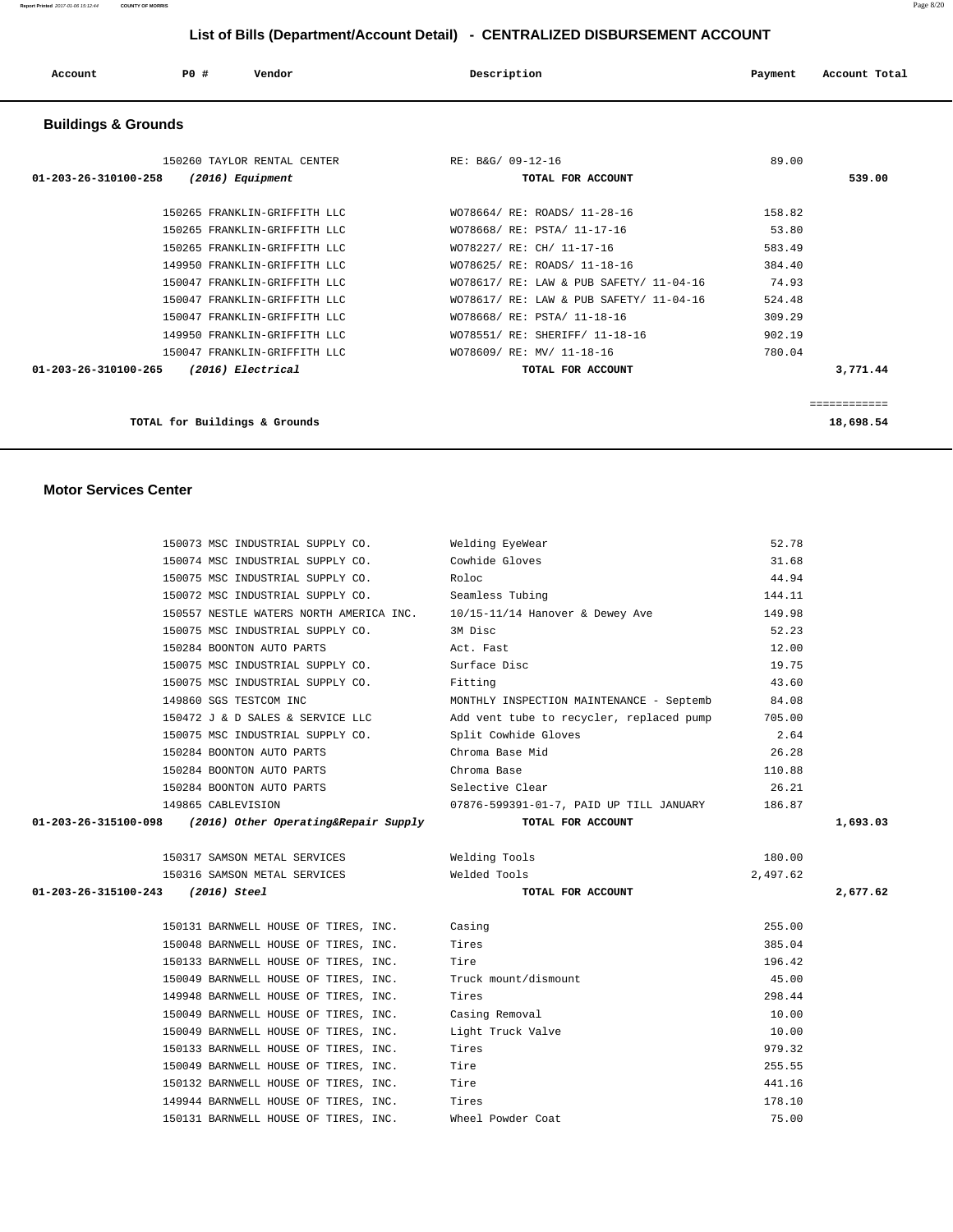| Account                        | PO# | Vendor                                                                                       | Description                                                                                          | Payment                   | Account Total             |
|--------------------------------|-----|----------------------------------------------------------------------------------------------|------------------------------------------------------------------------------------------------------|---------------------------|---------------------------|
| <b>Buildings &amp; Grounds</b> |     |                                                                                              |                                                                                                      |                           |                           |
| $01 - 203 - 26 - 310100 - 258$ |     | 150260 TAYLOR RENTAL CENTER<br>$(2016)$ Equipment                                            | RE: B&G/ 09-12-16<br>TOTAL FOR ACCOUNT                                                               | 89.00                     | 539.00                    |
|                                |     | 150265 FRANKLIN-GRIFFITH LLC<br>150265 FRANKLIN-GRIFFITH LLC                                 | WO78664/ RE: ROADS/ 11-28-16<br>WO78668/ RE: PSTA/ 11-17-16                                          | 158.82<br>53.80           |                           |
|                                |     | 150265 FRANKLIN-GRIFFITH LLC<br>149950 FRANKLIN-GRIFFITH LLC<br>150047 FRANKLIN-GRIFFITH LLC | WO78227/ RE: CH/ 11-17-16<br>WO78625/ RE: ROADS/ 11-18-16<br>WO78617/ RE: LAW & PUB SAFETY/ 11-04-16 | 583.49<br>384.40<br>74.93 |                           |
|                                |     | 150047 FRANKLIN-GRIFFITH LLC<br>150047 FRANKLIN-GRIFFITH LLC                                 | WO78617/ RE: LAW & PUB SAFETY/ 11-04-16<br>WO78668/ RE: PSTA/ 11-18-16                               | 524.48<br>309.29          |                           |
| $01 - 203 - 26 - 310100 - 265$ |     | 149950 FRANKLIN-GRIFFITH LLC<br>150047 FRANKLIN-GRIFFITH LLC<br>(2016) Electrical            | WO78551/ RE: SHERIFF/ 11-18-16<br>WO78609/ RE: MV/ 11-18-16<br>TOTAL FOR ACCOUNT                     | 902.19<br>780.04          | 3,771.44                  |
|                                |     | TOTAL for Buildings & Grounds                                                                |                                                                                                      |                           | ============<br>18,698.54 |

### **Motor Services Center**

|                                   | 150073 MSC INDUSTRIAL SUPPLY CO.                                        | Welding EyeWear                          | 52.78    |          |
|-----------------------------------|-------------------------------------------------------------------------|------------------------------------------|----------|----------|
|                                   | 150074 MSC INDUSTRIAL SUPPLY CO.                                        | Cowhide Gloves                           | 31.68    |          |
|                                   | 150075 MSC INDUSTRIAL SUPPLY CO.                                        | Roloc                                    | 44.94    |          |
|                                   | 150072 MSC INDUSTRIAL SUPPLY CO.                                        | Seamless Tubing                          | 144.11   |          |
|                                   | 150557 NESTLE WATERS NORTH AMERICA INC. 10/15-11/14 Hanover & Dewey Ave |                                          | 149.98   |          |
|                                   | 150075 MSC INDUSTRIAL SUPPLY CO.                                        | 3M Disc                                  | 52.23    |          |
|                                   | 150284 BOONTON AUTO PARTS                                               | Act. Fast                                | 12.00    |          |
|                                   | 150075 MSC INDUSTRIAL SUPPLY CO.                                        | Surface Disc                             | 19.75    |          |
|                                   | 150075 MSC INDUSTRIAL SUPPLY CO.                                        | Fitting                                  | 43.60    |          |
|                                   | 149860 SGS TESTCOM INC                                                  | MONTHLY INSPECTION MAINTENANCE - Septemb | 84.08    |          |
|                                   | 150472 J & D SALES & SERVICE LLC                                        | Add vent tube to recycler, replaced pump | 705.00   |          |
|                                   | 150075 MSC INDUSTRIAL SUPPLY CO.                                        | Split Cowhide Gloves                     | 2.64     |          |
|                                   | 150284 BOONTON AUTO PARTS                                               | Chroma Base Mid                          | 26.28    |          |
|                                   | 150284 BOONTON AUTO PARTS                                               | Chroma Base                              | 110.88   |          |
|                                   | 150284 BOONTON AUTO PARTS                                               | Selective Clear                          | 26.21    |          |
|                                   | 149865 CABLEVISION                                                      | 07876-599391-01-7, PAID UP TILL JANUARY  | 186.87   |          |
| 01-203-26-315100-098              | (2016) Other Operating&Repair Supply                                    | TOTAL FOR ACCOUNT                        |          | 1,693.03 |
|                                   |                                                                         |                                          |          |          |
|                                   | 150317 SAMSON METAL SERVICES                                            | Welding Tools                            | 180.00   |          |
|                                   | 150316 SAMSON METAL SERVICES                                            | Welded Tools                             | 2,497.62 |          |
| 01-203-26-315100-243 (2016) Steel |                                                                         | TOTAL FOR ACCOUNT                        |          | 2,677.62 |
|                                   |                                                                         |                                          |          |          |
|                                   | 150131 BARNWELL HOUSE OF TIRES, INC.                                    | Casing                                   | 255.00   |          |
|                                   |                                                                         |                                          |          |          |
|                                   | 150048 BARNWELL HOUSE OF TIRES, INC.                                    | Tires                                    | 385.04   |          |
|                                   | 150133 BARNWELL HOUSE OF TIRES, INC.                                    | Tire                                     | 196.42   |          |
|                                   | 150049 BARNWELL HOUSE OF TIRES, INC.                                    | Truck mount/dismount                     | 45.00    |          |
|                                   | 149948 BARNWELL HOUSE OF TIRES, INC.                                    | Tires                                    | 298.44   |          |
|                                   | 150049 BARNWELL HOUSE OF TIRES, INC.                                    | Casing Removal                           | 10.00    |          |
|                                   | 150049 BARNWELL HOUSE OF TIRES, INC.                                    | Light Truck Valve                        | 10.00    |          |
|                                   | 150133 BARNWELL HOUSE OF TIRES, INC.                                    | Tires                                    | 979.32   |          |
|                                   | 150049 BARNWELL HOUSE OF TIRES, INC.                                    | Tire                                     | 255.55   |          |
|                                   | 150132 BARNWELL HOUSE OF TIRES, INC.                                    | Tire                                     | 441.16   |          |
|                                   | 149944 BARNWELL HOUSE OF TIRES, INC.                                    | Tires                                    | 178.10   |          |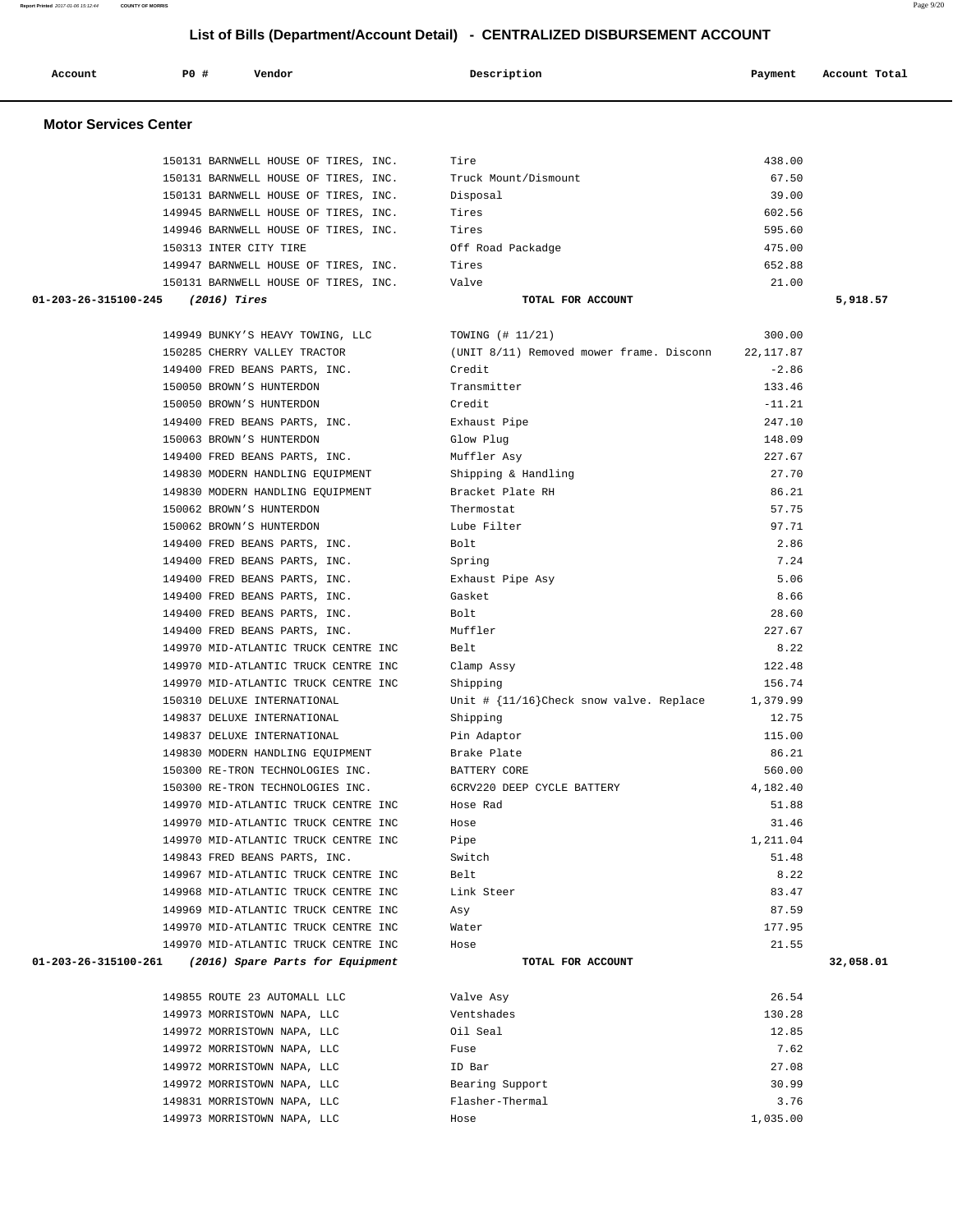| Account                      | PO# | Vendor | Description | Payment | Account Total |
|------------------------------|-----|--------|-------------|---------|---------------|
| <b>Motor Services Center</b> |     |        |             |         |               |

|                                     | 150131 BARNWELL HOUSE OF TIRES, INC.                      | Tire                                                     | 438.00     |           |
|-------------------------------------|-----------------------------------------------------------|----------------------------------------------------------|------------|-----------|
|                                     | 150131 BARNWELL HOUSE OF TIRES, INC.                      | Truck Mount/Dismount                                     | 67.50      |           |
|                                     | 150131 BARNWELL HOUSE OF TIRES, INC.                      | Disposal                                                 | 39.00      |           |
|                                     | 149945 BARNWELL HOUSE OF TIRES, INC.                      | Tires                                                    | 602.56     |           |
|                                     | 149946 BARNWELL HOUSE OF TIRES, INC.                      | Tires                                                    | 595.60     |           |
|                                     | 150313 INTER CITY TIRE                                    | Off Road Packadge                                        | 475.00     |           |
|                                     | 149947 BARNWELL HOUSE OF TIRES, INC.                      | Tires                                                    | 652.88     |           |
|                                     | 150131 BARNWELL HOUSE OF TIRES, INC.                      | Valve                                                    | 21.00      |           |
| $01-203-26-315100-245$ (2016) Tires |                                                           | TOTAL FOR ACCOUNT                                        |            | 5,918.57  |
|                                     | 149949 BUNKY'S HEAVY TOWING, LLC                          | TOWING (# 11/21)                                         | 300.00     |           |
|                                     | 150285 CHERRY VALLEY TRACTOR                              | (UNIT 8/11) Removed mower frame. Disconn                 | 22, 117.87 |           |
|                                     | 149400 FRED BEANS PARTS, INC.                             | Credit                                                   | $-2.86$    |           |
|                                     | 150050 BROWN'S HUNTERDON                                  | Transmitter                                              | 133.46     |           |
|                                     | 150050 BROWN'S HUNTERDON                                  | Credit                                                   | $-11.21$   |           |
|                                     |                                                           |                                                          | 247.10     |           |
|                                     | 149400 FRED BEANS PARTS, INC.<br>150063 BROWN'S HUNTERDON | Exhaust Pipe<br>Glow Plug                                | 148.09     |           |
|                                     |                                                           |                                                          | 227.67     |           |
|                                     | 149400 FRED BEANS PARTS, INC.                             | Muffler Asy                                              |            |           |
|                                     | 149830 MODERN HANDLING EQUIPMENT                          | Shipping & Handling                                      | 27.70      |           |
|                                     | 149830 MODERN HANDLING EQUIPMENT                          | Bracket Plate RH                                         | 86.21      |           |
|                                     | 150062 BROWN'S HUNTERDON                                  | Thermostat                                               | 57.75      |           |
|                                     | 150062 BROWN'S HUNTERDON                                  | Lube Filter                                              | 97.71      |           |
|                                     | 149400 FRED BEANS PARTS, INC.                             | Bolt                                                     | 2.86       |           |
|                                     | 149400 FRED BEANS PARTS, INC.                             | Spring                                                   | 7.24       |           |
|                                     | 149400 FRED BEANS PARTS, INC.                             | Exhaust Pipe Asy                                         | 5.06       |           |
|                                     | 149400 FRED BEANS PARTS, INC.                             | Gasket                                                   | 8.66       |           |
|                                     | 149400 FRED BEANS PARTS, INC.                             | Bolt                                                     | 28.60      |           |
|                                     | 149400 FRED BEANS PARTS, INC.                             | Muffler                                                  | 227.67     |           |
|                                     | 149970 MID-ATLANTIC TRUCK CENTRE INC                      | Belt                                                     | 8.22       |           |
|                                     | 149970 MID-ATLANTIC TRUCK CENTRE INC                      | Clamp Assy                                               | 122.48     |           |
|                                     | 149970 MID-ATLANTIC TRUCK CENTRE INC                      | Shipping                                                 | 156.74     |           |
|                                     | 150310 DELUXE INTERNATIONAL                               | Unit $\#$ $\{11/16\}$ Check snow valve. Replace 1,379.99 |            |           |
|                                     | 149837 DELUXE INTERNATIONAL                               | Shipping                                                 | 12.75      |           |
|                                     | 149837 DELUXE INTERNATIONAL                               | Pin Adaptor                                              | 115.00     |           |
|                                     | 149830 MODERN HANDLING EQUIPMENT                          | Brake Plate                                              | 86.21      |           |
|                                     | 150300 RE-TRON TECHNOLOGIES INC.                          | BATTERY CORE                                             | 560.00     |           |
|                                     | 150300 RE-TRON TECHNOLOGIES INC.                          | 6CRV220 DEEP CYCLE BATTERY                               | 4,182.40   |           |
|                                     | 149970 MID-ATLANTIC TRUCK CENTRE INC                      | Hose Rad                                                 | 51.88      |           |
|                                     | 149970 MID-ATLANTIC TRUCK CENTRE INC                      | Hose                                                     | 31.46      |           |
|                                     | 149970 MID-ATLANTIC TRUCK CENTRE INC                      | Pipe                                                     | 1,211.04   |           |
|                                     | 149843 FRED BEANS PARTS, INC.                             | Switch                                                   | 51.48      |           |
|                                     | 149967 MID-ATLANTIC TRUCK CENTRE INC                      | Belt                                                     | 8.22       |           |
|                                     | 149968 MID-ATLANTIC TRUCK CENTRE INC                      | Link Steer                                               | 83.47      |           |
|                                     | 149969 MID-ATLANTIC TRUCK CENTRE INC                      | Asy                                                      | 87.59      |           |
|                                     | 149970 MID-ATLANTIC TRUCK CENTRE INC                      | Water                                                    | 177.95     |           |
|                                     | 149970 MID-ATLANTIC TRUCK CENTRE INC                      | Hose                                                     | 21.55      |           |
| 01-203-26-315100-261                | (2016) Spare Parts for Equipment                          | TOTAL FOR ACCOUNT                                        |            | 32,058.01 |
|                                     |                                                           |                                                          |            |           |
|                                     | 149855 ROUTE 23 AUTOMALL LLC                              | Valve Asy                                                | 26.54      |           |
|                                     | 149973 MORRISTOWN NAPA, LLC                               | Ventshades                                               | 130.28     |           |
|                                     | 149972 MORRISTOWN NAPA, LLC                               | Oil Seal                                                 | 12.85      |           |
|                                     | 149972 MORRISTOWN NAPA, LLC                               | Fuse                                                     | 7.62       |           |
|                                     | 149972 MORRISTOWN NAPA, LLC                               | ID Bar                                                   | 27.08      |           |
|                                     | 149972 MORRISTOWN NAPA, LLC                               | Bearing Support                                          | 30.99      |           |
|                                     | 149831 MORRISTOWN NAPA, LLC                               | Flasher-Thermal                                          | 3.76       |           |
|                                     | 149973 MORRISTOWN NAPA, LLC                               | Hose                                                     | 1,035.00   |           |
|                                     |                                                           |                                                          |            |           |

**Report Printed** 2017-01-06 15:12:44 **COUNTY OF MORRIS** Page 9/20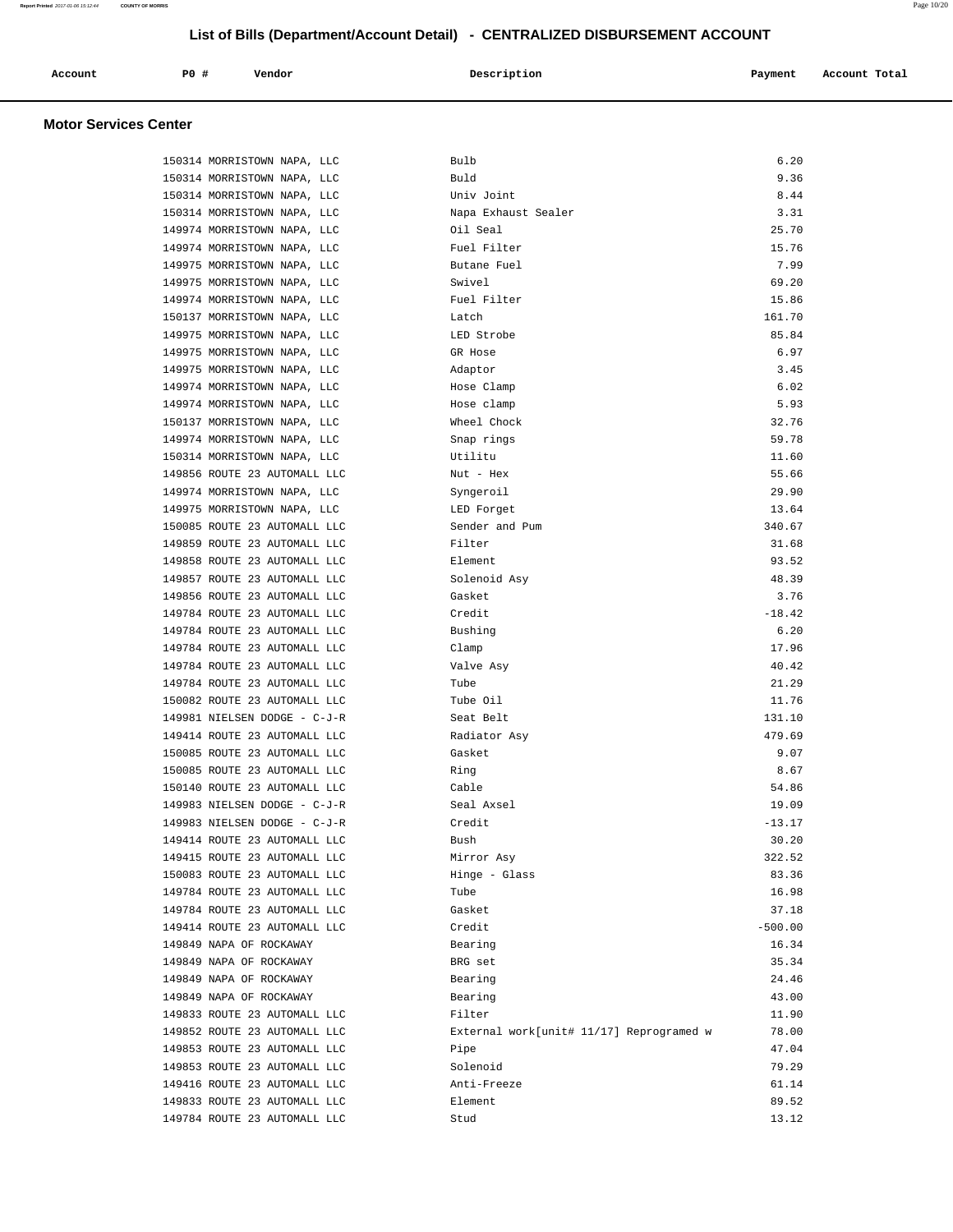| Account | <b>PO #</b> | Vendor | Description | Payment | Account Total |
|---------|-------------|--------|-------------|---------|---------------|
|         |             |        |             |         |               |

# **Motor Services Center**

| 150314 MORRISTOWN NAPA, LLC  | Bulb                                     | 6.20      |
|------------------------------|------------------------------------------|-----------|
| 150314 MORRISTOWN NAPA, LLC  | Buld                                     | 9.36      |
| 150314 MORRISTOWN NAPA, LLC  | Univ Joint                               | 8.44      |
| 150314 MORRISTOWN NAPA, LLC  | Napa Exhaust Sealer                      | 3.31      |
| 149974 MORRISTOWN NAPA, LLC  | Oil Seal                                 | 25.70     |
| 149974 MORRISTOWN NAPA, LLC  | Fuel Filter                              | 15.76     |
| 149975 MORRISTOWN NAPA, LLC  | Butane Fuel                              | 7.99      |
| 149975 MORRISTOWN NAPA, LLC  | Swivel                                   | 69.20     |
| 149974 MORRISTOWN NAPA, LLC  | Fuel Filter                              | 15.86     |
| 150137 MORRISTOWN NAPA, LLC  | Latch                                    | 161.70    |
| 149975 MORRISTOWN NAPA, LLC  | LED Strobe                               | 85.84     |
| 149975 MORRISTOWN NAPA, LLC  | GR Hose                                  | 6.97      |
| 149975 MORRISTOWN NAPA, LLC  | Adaptor                                  | 3.45      |
| 149974 MORRISTOWN NAPA, LLC  | Hose Clamp                               | 6.02      |
| 149974 MORRISTOWN NAPA, LLC  | Hose clamp                               | 5.93      |
| 150137 MORRISTOWN NAPA, LLC  | Wheel Chock                              | 32.76     |
| 149974 MORRISTOWN NAPA, LLC  | Snap rings                               | 59.78     |
| 150314 MORRISTOWN NAPA, LLC  | Utilitu                                  | 11.60     |
| 149856 ROUTE 23 AUTOMALL LLC | Nut - Hex                                | 55.66     |
| 149974 MORRISTOWN NAPA, LLC  | Syngeroil                                | 29.90     |
| 149975 MORRISTOWN NAPA, LLC  | LED Forget                               | 13.64     |
| 150085 ROUTE 23 AUTOMALL LLC | Sender and Pum                           | 340.67    |
| 149859 ROUTE 23 AUTOMALL LLC | Filter                                   | 31.68     |
| 149858 ROUTE 23 AUTOMALL LLC | Element                                  | 93.52     |
| 149857 ROUTE 23 AUTOMALL LLC | Solenoid Asy                             | 48.39     |
| 149856 ROUTE 23 AUTOMALL LLC | Gasket                                   | 3.76      |
| 149784 ROUTE 23 AUTOMALL LLC | Credit                                   | $-18.42$  |
| 149784 ROUTE 23 AUTOMALL LLC | Bushing                                  | 6.20      |
| 149784 ROUTE 23 AUTOMALL LLC | Clamp                                    | 17.96     |
| 149784 ROUTE 23 AUTOMALL LLC | Valve Asy                                | 40.42     |
| 149784 ROUTE 23 AUTOMALL LLC | Tube                                     | 21.29     |
| 150082 ROUTE 23 AUTOMALL LLC | Tube Oil                                 | 11.76     |
| 149981 NIELSEN DODGE - C-J-R | Seat Belt                                | 131.10    |
| 149414 ROUTE 23 AUTOMALL LLC | Radiator Asy                             | 479.69    |
| 150085 ROUTE 23 AUTOMALL LLC | Gasket                                   | 9.07      |
| 150085 ROUTE 23 AUTOMALL LLC | Ring                                     | 8.67      |
| 150140 ROUTE 23 AUTOMALL LLC | Cable                                    | 54.86     |
| 149983 NIELSEN DODGE - C-J-R | Seal Axsel                               | 19.09     |
| 149983 NIELSEN DODGE - C-J-R | Credit                                   | $-13.17$  |
| 149414 ROUTE 23 AUTOMALL LLC | Bush                                     | 30.20     |
| 149415 ROUTE 23 AUTOMALL LLC | Mirror Asy                               | 322.52    |
| 150083 ROUTE 23 AUTOMALL LLC | Hinge - Glass                            | 83.36     |
| 149784 ROUTE 23 AUTOMALL LLC | Tube                                     | 16.98     |
| 149784 ROUTE 23 AUTOMALL LLC | Gasket                                   | 37.18     |
| 149414 ROUTE 23 AUTOMALL LLC | Credit                                   | $-500.00$ |
| 149849 NAPA OF ROCKAWAY      | Bearing                                  | 16.34     |
| 149849 NAPA OF ROCKAWAY      | BRG set                                  | 35.34     |
| 149849 NAPA OF ROCKAWAY      | Bearing                                  | 24.46     |
| 149849 NAPA OF ROCKAWAY      | Bearing                                  | 43.00     |
| 149833 ROUTE 23 AUTOMALL LLC | Filter                                   | 11.90     |
| 149852 ROUTE 23 AUTOMALL LLC | External work[unit# 11/17] Reprogramed w | 78.00     |
| 149853 ROUTE 23 AUTOMALL LLC | Pipe                                     | 47.04     |
| 149853 ROUTE 23 AUTOMALL LLC | Solenoid                                 | 79.29     |
| 149416 ROUTE 23 AUTOMALL LLC | Anti-Freeze                              | 61.14     |
| 149833 ROUTE 23 AUTOMALL LLC | Element                                  | 89.52     |
| 149784 ROUTE 23 AUTOMALL LLC | Stud                                     | 13.12     |
|                              |                                          |           |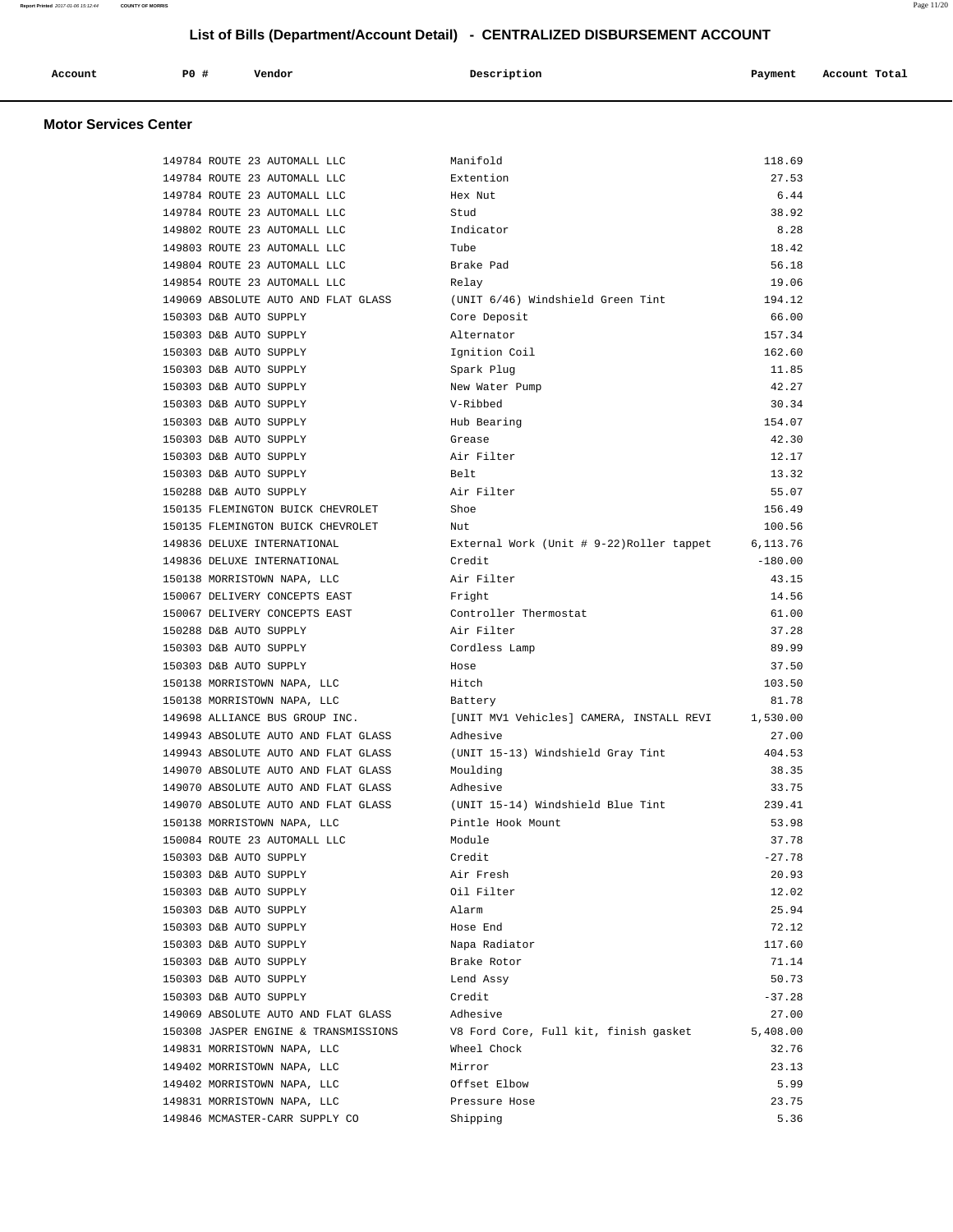| Account                      | PO# | Vendor | Description | Payment | Account Total |
|------------------------------|-----|--------|-------------|---------|---------------|
| <b>Motor Services Center</b> |     |        |             |         |               |

| 149784 ROUTE 23 AUTOMALL LLC         | Manifold                                  | 118.69    |
|--------------------------------------|-------------------------------------------|-----------|
| 149784 ROUTE 23 AUTOMALL LLC         | Extention                                 | 27.53     |
| 149784 ROUTE 23 AUTOMALL LLC         | Hex Nut                                   | 6.44      |
| 149784 ROUTE 23 AUTOMALL LLC         | Stud                                      | 38.92     |
| 149802 ROUTE 23 AUTOMALL LLC         | Indicator                                 | 8.28      |
| 149803 ROUTE 23 AUTOMALL LLC         | Tube                                      | 18.42     |
| 149804 ROUTE 23 AUTOMALL LLC         | Brake Pad                                 | 56.18     |
| 149854 ROUTE 23 AUTOMALL LLC         | Relay                                     | 19.06     |
| 149069 ABSOLUTE AUTO AND FLAT GLASS  | (UNIT 6/46) Windshield Green Tint         | 194.12    |
| 150303 D&B AUTO SUPPLY               | Core Deposit                              | 66.00     |
| 150303 D&B AUTO SUPPLY               | Alternator                                | 157.34    |
| 150303 D&B AUTO SUPPLY               | Ignition Coil                             | 162.60    |
| 150303 D&B AUTO SUPPLY               | Spark Plug                                | 11.85     |
| 150303 D&B AUTO SUPPLY               | New Water Pump                            | 42.27     |
| 150303 D&B AUTO SUPPLY               | V-Ribbed                                  | 30.34     |
| 150303 D&B AUTO SUPPLY               | Hub Bearing                               | 154.07    |
| 150303 D&B AUTO SUPPLY               | Grease                                    | 42.30     |
| 150303 D&B AUTO SUPPLY               | Air Filter                                | 12.17     |
| 150303 D&B AUTO SUPPLY               | Belt                                      | 13.32     |
|                                      |                                           | 55.07     |
| 150288 D&B AUTO SUPPLY               | Air Filter                                |           |
| 150135 FLEMINGTON BUICK CHEVROLET    | Shoe                                      | 156.49    |
| 150135 FLEMINGTON BUICK CHEVROLET    | Nut                                       | 100.56    |
| 149836 DELUXE INTERNATIONAL          | External Work (Unit # 9-22) Roller tappet | 6,113.76  |
| 149836 DELUXE INTERNATIONAL          | Credit                                    | $-180.00$ |
| 150138 MORRISTOWN NAPA, LLC          | Air Filter                                | 43.15     |
| 150067 DELIVERY CONCEPTS EAST        | Fright                                    | 14.56     |
| 150067 DELIVERY CONCEPTS EAST        | Controller Thermostat                     | 61.00     |
| 150288 D&B AUTO SUPPLY               | Air Filter                                | 37.28     |
| 150303 D&B AUTO SUPPLY               | Cordless Lamp                             | 89.99     |
| 150303 D&B AUTO SUPPLY               | Hose                                      | 37.50     |
| 150138 MORRISTOWN NAPA, LLC          | Hitch                                     | 103.50    |
| 150138 MORRISTOWN NAPA, LLC          | Battery                                   | 81.78     |
| 149698 ALLIANCE BUS GROUP INC.       | [UNIT MV1 Vehicles] CAMERA, INSTALL REVI  | 1,530.00  |
| 149943 ABSOLUTE AUTO AND FLAT GLASS  | Adhesive                                  | 27.00     |
| 149943 ABSOLUTE AUTO AND FLAT GLASS  | (UNIT 15-13) Windshield Gray Tint         | 404.53    |
| 149070 ABSOLUTE AUTO AND FLAT GLASS  | Moulding                                  | 38.35     |
| 149070 ABSOLUTE AUTO AND FLAT GLASS  | Adhesive                                  | 33.75     |
| 149070 ABSOLUTE AUTO AND FLAT GLASS  | (UNIT 15-14) Windshield Blue Tint         | 239.41    |
| 150138 MORRISTOWN NAPA, LLC          | Pintle Hook Mount                         | 53.98     |
| 150084 ROUTE 23 AUTOMALL LLC         | Module                                    | 37.78     |
| 150303 D&B AUTO SUPPLY               | Credit                                    | $-27.78$  |
| 150303 D&B AUTO SUPPLY               | Air Fresh                                 | 20.93     |
| 150303 D&B AUTO SUPPLY               | Oil Filter                                | 12.02     |
| 150303 D&B AUTO SUPPLY               | Alarm                                     | 25.94     |
| 150303 D&B AUTO SUPPLY               | Hose End                                  | 72.12     |
| 150303 D&B AUTO SUPPLY               | Napa Radiator                             | 117.60    |
| 150303 D&B AUTO SUPPLY               | Brake Rotor                               | 71.14     |
| 150303 D&B AUTO SUPPLY               | Lend Assy                                 | 50.73     |
| 150303 D&B AUTO SUPPLY               | Credit                                    | $-37.28$  |
| 149069 ABSOLUTE AUTO AND FLAT GLASS  | Adhesive                                  | 27.00     |
| 150308 JASPER ENGINE & TRANSMISSIONS | V8 Ford Core, Full kit, finish gasket     | 5,408.00  |
| 149831 MORRISTOWN NAPA, LLC          | Wheel Chock                               | 32.76     |
| 149402 MORRISTOWN NAPA, LLC          | Mirror                                    | 23.13     |
| 149402 MORRISTOWN NAPA, LLC          | Offset Elbow                              | 5.99      |
| 149831 MORRISTOWN NAPA, LLC          | Pressure Hose                             | 23.75     |
| 149846 MCMASTER-CARR SUPPLY CO       | Shipping                                  | 5.36      |
|                                      |                                           |           |

**Report Printed** 2017-01-06 15:12:44 **COUNTY OF MORRIS** Page 11/20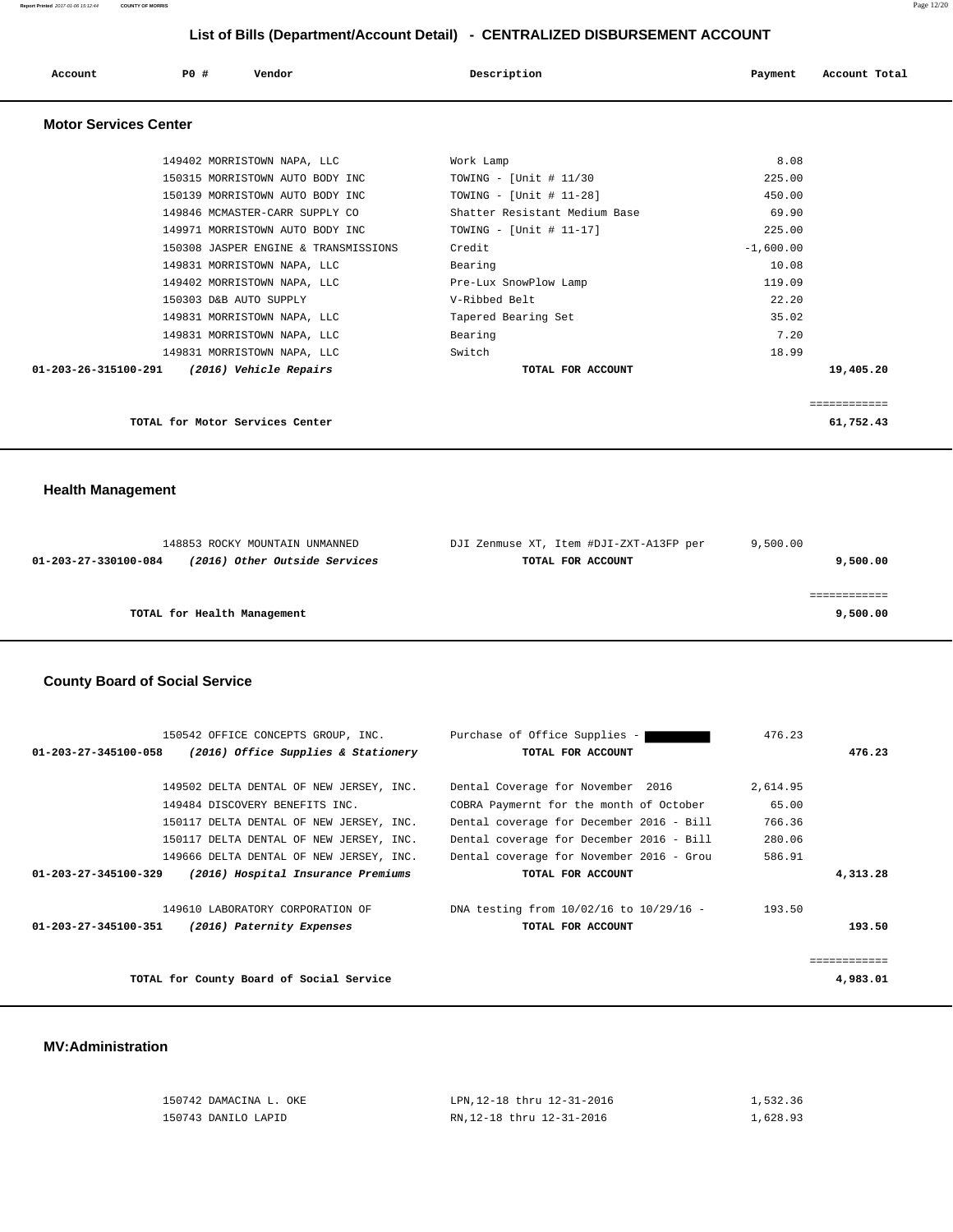| Account                      | PO#                             | Vendor                               | Description                   | Payment     | Account Total |
|------------------------------|---------------------------------|--------------------------------------|-------------------------------|-------------|---------------|
| <b>Motor Services Center</b> |                                 |                                      |                               |             |               |
|                              | 149402 MORRISTOWN NAPA, LLC     |                                      | Work Lamp                     | 8.08        |               |
|                              |                                 | 150315 MORRISTOWN AUTO BODY INC      | TOWING - [Unit # $11/30$      | 225.00      |               |
|                              |                                 | 150139 MORRISTOWN AUTO BODY INC      | TOWING - [Unit # $11-28$ ]    | 450.00      |               |
|                              |                                 | 149846 MCMASTER-CARR SUPPLY CO       | Shatter Resistant Medium Base | 69.90       |               |
|                              |                                 | 149971 MORRISTOWN AUTO BODY INC      | TOWING - [Unit # $11-17$ ]    | 225.00      |               |
|                              |                                 | 150308 JASPER ENGINE & TRANSMISSIONS | Credit                        | $-1.600.00$ |               |
|                              | 149831 MORRISTOWN NAPA, LLC     |                                      | Bearing                       | 10.08       |               |
|                              | 149402 MORRISTOWN NAPA, LLC     |                                      | Pre-Lux SnowPlow Lamp         | 119.09      |               |
|                              | 150303 D&B AUTO SUPPLY          |                                      | V-Ribbed Belt                 | 22.20       |               |
|                              | 149831 MORRISTOWN NAPA, LLC     |                                      | Tapered Bearing Set           | 35.02       |               |
|                              | 149831 MORRISTOWN NAPA, LLC     |                                      | Bearing                       | 7.20        |               |
|                              | 149831 MORRISTOWN NAPA, LLC     |                                      | Switch                        | 18.99       |               |
| 01-203-26-315100-291         |                                 | (2016) Vehicle Repairs               | TOTAL FOR ACCOUNT             |             | 19,405.20     |
|                              |                                 |                                      |                               |             | ============  |
|                              | TOTAL for Motor Services Center |                                      |                               |             | 61,752.43     |

# **Health Management**

| 148853 ROCKY MOUNTAIN UNMANNED                        | DJI Zenmuse XT, Item #DJI-ZXT-A13FP per | 9.500.00 |
|-------------------------------------------------------|-----------------------------------------|----------|
| (2016) Other Outside Services<br>01-203-27-330100-084 | TOTAL FOR ACCOUNT                       | 9,500.00 |
|                                                       |                                         |          |
|                                                       |                                         |          |
| TOTAL for Health Management                           |                                         | 9,500.00 |

# **County Board of Social Service**

|                                | 150542 OFFICE CONCEPTS GROUP, INC.       | Purchase of Office Supplies -            | 476.23   |          |
|--------------------------------|------------------------------------------|------------------------------------------|----------|----------|
| 01-203-27-345100-058           | (2016) Office Supplies & Stationery      | TOTAL FOR ACCOUNT                        |          | 476.23   |
|                                |                                          |                                          |          |          |
|                                | 149502 DELTA DENTAL OF NEW JERSEY, INC.  | Dental Coverage for November 2016        | 2,614.95 |          |
|                                | 149484 DISCOVERY BENEFITS INC.           | COBRA Paymernt for the month of October  | 65.00    |          |
|                                | 150117 DELTA DENTAL OF NEW JERSEY, INC.  | Dental coverage for December 2016 - Bill | 766.36   |          |
|                                | 150117 DELTA DENTAL OF NEW JERSEY, INC.  | Dental coverage for December 2016 - Bill | 280.06   |          |
|                                | 149666 DELTA DENTAL OF NEW JERSEY, INC.  | Dental coverage for November 2016 - Grou | 586.91   |          |
| $01 - 203 - 27 - 345100 - 329$ | (2016) Hospital Insurance Premiums       | TOTAL FOR ACCOUNT                        |          | 4,313.28 |
|                                | 149610 LABORATORY CORPORATION OF         | DNA testing from 10/02/16 to 10/29/16 -  | 193.50   |          |
|                                |                                          |                                          |          |          |
| 01-203-27-345100-351           | (2016) Paternity Expenses                | TOTAL FOR ACCOUNT                        |          | 193.50   |
|                                |                                          |                                          |          |          |
|                                |                                          |                                          |          |          |
|                                | TOTAL for County Board of Social Service |                                          |          | 4,983.01 |
|                                |                                          |                                          |          |          |

### **MV:Administration**

| 150742 DAMACINA L. OKE | LPN.12-18 thru 12-31-2016 | 1,532.36 |
|------------------------|---------------------------|----------|
| 150743 DANILO LAPID    | RN.12-18 thru 12-31-2016  | 1,628.93 |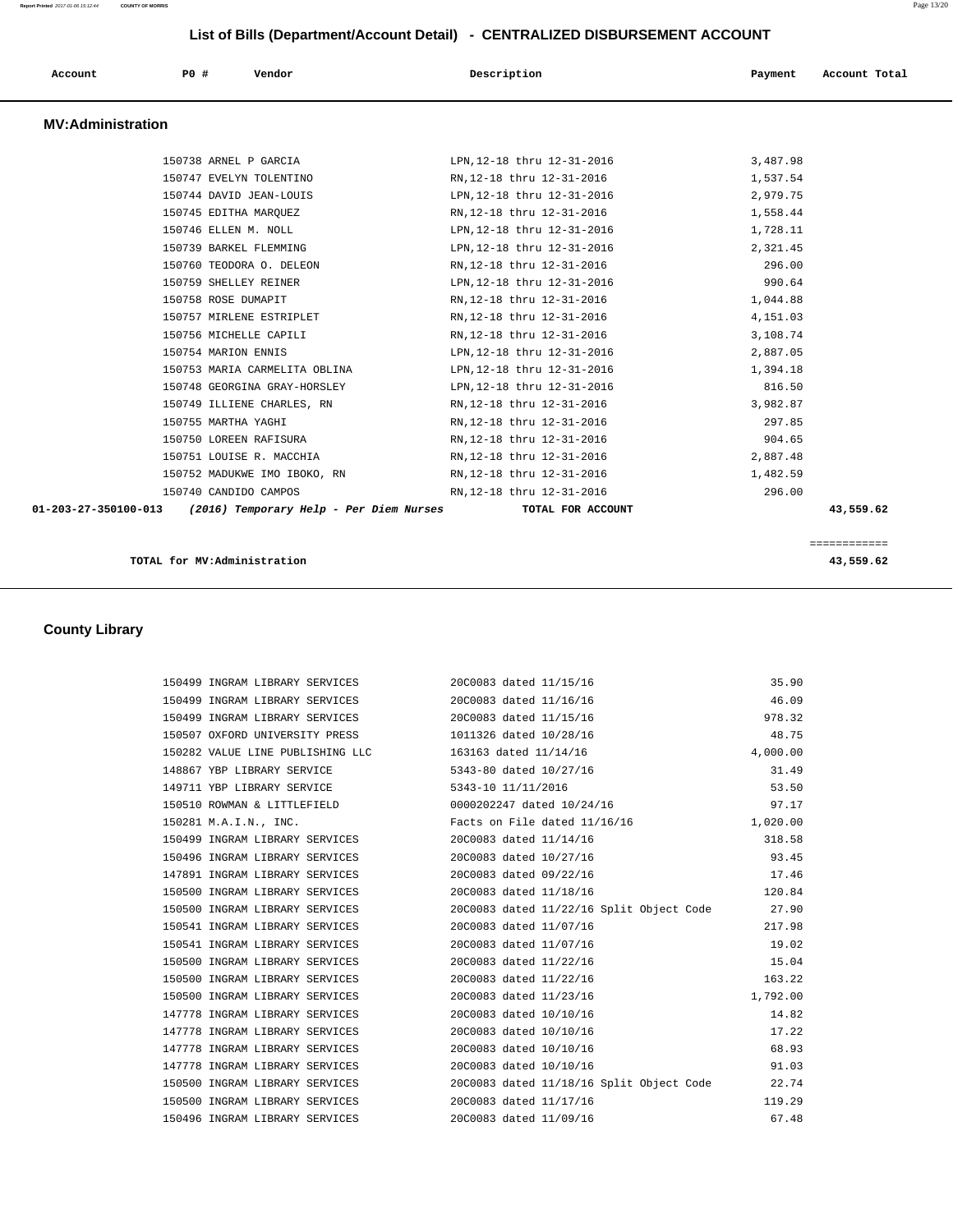| Account                  | PO# | Vendor                                  | Description                | Payment  | Account Total |
|--------------------------|-----|-----------------------------------------|----------------------------|----------|---------------|
| <b>MV:Administration</b> |     |                                         |                            |          |               |
|                          |     | 150738 ARNEL P GARCIA                   | LPN, 12-18 thru 12-31-2016 | 3,487.98 |               |
|                          |     | 150747 EVELYN TOLENTINO                 | RN, 12-18 thru 12-31-2016  | 1,537.54 |               |
|                          |     | 150744 DAVID JEAN-LOUIS                 | LPN, 12-18 thru 12-31-2016 | 2,979.75 |               |
|                          |     | 150745 EDITHA MARQUEZ                   | RN, 12-18 thru 12-31-2016  | 1,558.44 |               |
|                          |     | 150746 ELLEN M. NOLL                    | LPN, 12-18 thru 12-31-2016 | 1,728.11 |               |
|                          |     | 150739 BARKEL FLEMMING                  | LPN, 12-18 thru 12-31-2016 | 2,321.45 |               |
|                          |     | 150760 TEODORA O. DELEON                | RN, 12-18 thru 12-31-2016  | 296.00   |               |
|                          |     | 150759 SHELLEY REINER                   | LPN, 12-18 thru 12-31-2016 | 990.64   |               |
|                          |     | 150758 ROSE DUMAPIT                     | RN, 12-18 thru 12-31-2016  | 1,044.88 |               |
|                          |     | 150757 MIRLENE ESTRIPLET                | RN, 12-18 thru 12-31-2016  | 4,151.03 |               |
|                          |     | 150756 MICHELLE CAPILI                  | RN, 12-18 thru 12-31-2016  | 3,108.74 |               |
|                          |     | 150754 MARION ENNIS                     | LPN, 12-18 thru 12-31-2016 | 2,887.05 |               |
|                          |     | 150753 MARIA CARMELITA OBLINA           | LPN, 12-18 thru 12-31-2016 | 1,394.18 |               |
|                          |     | 150748 GEORGINA GRAY-HORSLEY            | LPN, 12-18 thru 12-31-2016 | 816.50   |               |
|                          |     | 150749 ILLIENE CHARLES, RN              | RN, 12-18 thru 12-31-2016  | 3,982.87 |               |
|                          |     | 150755 MARTHA YAGHI                     | RN, 12-18 thru 12-31-2016  | 297.85   |               |
|                          |     | 150750 LOREEN RAFISURA                  | RN, 12-18 thru 12-31-2016  | 904.65   |               |
|                          |     | 150751 LOUISE R. MACCHIA                | RN, 12-18 thru 12-31-2016  | 2,887.48 |               |
|                          |     | 150752 MADUKWE IMO IBOKO, RN            | RN, 12-18 thru 12-31-2016  | 1,482.59 |               |
|                          |     | 150740 CANDIDO CAMPOS                   | RN, 12-18 thru 12-31-2016  | 296.00   |               |
| 01-203-27-350100-013     |     | (2016) Temporary Help - Per Diem Nurses | TOTAL FOR ACCOUNT          |          | 43,559.62     |

### **TOTAL for MV:Administration 43,559.62**

 **County Library** 

============

| 150499 INGRAM LIBRARY SERVICES 20C0083 dated 11/15/16   |                        |                                                                               | 35.90    |
|---------------------------------------------------------|------------------------|-------------------------------------------------------------------------------|----------|
| 150499 INGRAM LIBRARY SERVICES 20C0083 dated 11/16/16   |                        |                                                                               | 46.09    |
| 150499 INGRAM LIBRARY SERVICES 20C0083 dated 11/15/16   |                        |                                                                               | 978.32   |
| 150507 OXFORD UNIVERSITY PRESS 1011326 dated $10/28/16$ |                        |                                                                               | 48.75    |
| 150282 VALUE LINE PUBLISHING LLC 163163 dated 11/14/16  |                        |                                                                               | 4,000.00 |
| 148867 YBP LIBRARY SERVICE 5343-80 dated 10/27/16       |                        |                                                                               | 31.49    |
| 149711 YBP LIBRARY SERVICE                              | 5343-10 11/11/2016     |                                                                               | 53.50    |
| 150510 ROWMAN & LITTLEFIELD 0000202247 dated 10/24/16   |                        |                                                                               | 97.17    |
| 150281 M.A.I.N., INC. Facts on File dated 11/16/16      |                        |                                                                               | 1,020.00 |
| 150499 INGRAM LIBRARY SERVICES 20C0083 dated 11/14/16   |                        |                                                                               | 318.58   |
| 150496 INGRAM LIBRARY SERVICES 20C0083 dated 10/27/16   |                        |                                                                               | 93.45    |
| 147891 INGRAM LIBRARY SERVICES 20C0083 dated 09/22/16   |                        |                                                                               | 17.46    |
| 150500 INGRAM LIBRARY SERVICES 20C0083 dated 11/18/16   |                        |                                                                               | 120.84   |
|                                                         |                        | 150500 INGRAM LIBRARY SERVICES 20C0083 dated 11/22/16 Split Object Code 27.90 |          |
| 150541 INGRAM LIBRARY SERVICES 20C0083 dated 11/07/16   |                        |                                                                               | 217.98   |
| 150541 INGRAM LIBRARY SERVICES 20C0083 dated 11/07/16   |                        |                                                                               | 19.02    |
| 150500 INGRAM LIBRARY SERVICES 20C0083 dated 11/22/16   |                        |                                                                               | 15.04    |
| 150500 INGRAM LIBRARY SERVICES 20C0083 dated 11/22/16   |                        |                                                                               | 163.22   |
| 150500 INGRAM LIBRARY SERVICES 20C0083 dated 11/23/16   |                        |                                                                               | 1,792.00 |
| 147778 INGRAM LIBRARY SERVICES 20C0083 dated 10/10/16   |                        |                                                                               | 14.82    |
| 147778 INGRAM LIBRARY SERVICES 20C0083 dated 10/10/16   |                        |                                                                               | 17.22    |
| 147778 INGRAM LIBRARY SERVICES                          | 20C0083 dated 10/10/16 |                                                                               | 68.93    |
| 147778 INGRAM LIBRARY SERVICES 20C0083 dated 10/10/16   |                        |                                                                               | 91.03    |
|                                                         |                        | 150500 INGRAM LIBRARY SERVICES 2000083 dated 11/18/16 Split Object Code 22.74 |          |
| 150500 INGRAM LIBRARY SERVICES 20C0083 dated 11/17/16   |                        |                                                                               | 119.29   |
| 150496 INGRAM LIBRARY SERVICES                          | 20C0083 dated 11/09/16 |                                                                               | 67.48    |
|                                                         |                        |                                                                               |          |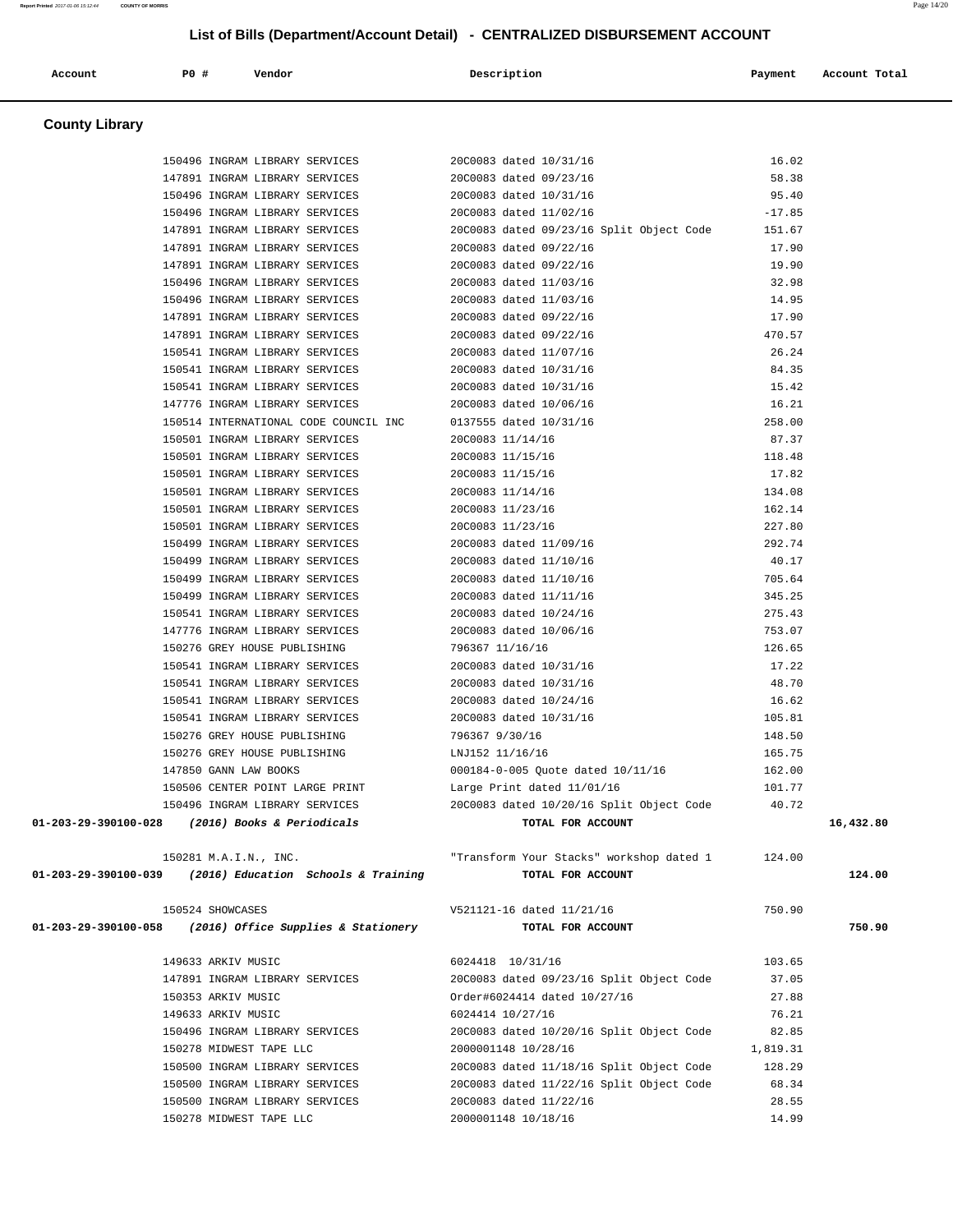# 150496 INGRAM LIBRARY SERVICES 20C0083 dated 10/31/16 95.40 150496 INGRAM LIBRARY SERVICES 20C0083 dated 11/02/16 -17.85 147891 INGRAM LIBRARY SERVICES 20C0083 dated 09/23/16 Split Object Code 151.67 147891 INGRAM LIBRARY SERVICES 20C0083 dated 09/22/16 17.90 147891 INGRAM LIBRARY SERVICES 20C0083 dated 09/22/16 19.90 150496 INGRAM LIBRARY SERVICES 20C0083 dated 11/03/16 32.98 150496 INGRAM LIBRARY SERVICES 20C0083 dated 11/03/16 14.95 147891 INGRAM LIBRARY SERVICES 20C0083 dated 09/22/16 17.90 147891 INGRAM LIBRARY SERVICES 20C0083 dated 09/22/16 470.57 150541 INGRAM LIBRARY SERVICES 20C0083 dated 11/07/16 26.24 150541 INGRAM LIBRARY SERVICES 20C0083 dated 10/31/16 84.35 150541 INGRAM LIBRARY SERVICES 20C0083 dated 10/31/16 15.42 147776 INGRAM LIBRARY SERVICES 20C0083 dated 10/06/16 16.21 150514 INTERNATIONAL CODE COUNCIL INC 0137555 dated 10/31/16 258.00 150501 INGRAM LIBRARY SERVICES 20C0083 11/14/16 87.37 150501 INGRAM LIBRARY SERVICES 20C0083 11/15/16 118.48 150501 INGRAM LIBRARY SERVICES 20C0083 11/15/16 17.82 150501 INGRAM LIBRARY SERVICES 20C0083 11/14/16 134.08 150501 INGRAM LIBRARY SERVICES 20C0083 11/23/16 162.14 150501 INGRAM LIBRARY SERVICES 20C0083 11/23/16 227.80 150499 INGRAM LIBRARY SERVICES 20C0083 dated 11/09/16 292.74 150499 INGRAM LIBRARY SERVICES 20C0083 dated 11/10/16 40.17 150499 INGRAM LIBRARY SERVICES 20C0083 dated 11/10/16 705.64 150499 INGRAM LIBRARY SERVICES 20C0083 dated 11/11/16 345.25 150541 INGRAM LIBRARY SERVICES 20C0083 dated 10/24/16 275.43 147776 INGRAM LIBRARY SERVICES 20C0083 dated 10/06/16 753.07 150276 GREY HOUSE PUBLISHING 796367 11/16/16 126.65 150541 INGRAM LIBRARY SERVICES 20C0083 dated 10/31/16 17.22 150541 INGRAM LIBRARY SERVICES 20C0083 dated 10/31/16 48.70 150541 INGRAM LIBRARY SERVICES 20C0083 dated 10/24/16 16.62 150541 INGRAM LIBRARY SERVICES 20C0083 dated 10/31/16 105.81 150276 GREY HOUSE PUBLISHING 796367 9/30/16 148.50 150276 GREY HOUSE PUBLISHING LNJ152 11/16/16 165.75 147850 GANN LAW BOOKS 000184-0-005 Quote dated 10/11/16 162.00 150506 CENTER POINT LARGE PRINT Large Print dated 11/01/16 101.77 150496 INGRAM LIBRARY SERVICES 20C0083 dated 10/20/16 Split Object Code 40.72  **01-203-29-390100-028 (2016) Books & Periodicals TOTAL FOR ACCOUNT 16,432.80** 150281 M.A.I.N., INC. "Transform Your Stacks" workshop dated 1 124.00  **01-203-29-390100-039 (2016) Education Schools & Training TOTAL FOR ACCOUNT 124.00** 150524 SHOWCASES V521121-16 dated 11/21/16 750.90  **01-203-29-390100-058 (2016) Office Supplies & Stationery TOTAL FOR ACCOUNT 750.90** 149633 ARKIV MUSIC 6024418 10/31/16 103.65 147891 INGRAM LIBRARY SERVICES 20C0083 dated 09/23/16 Split Object Code 37.05 150353 ARKIV MUSIC Order#6024414 dated 10/27/16 27.88 149633 ARKIV MUSIC 6024414 10/27/16 76.21 150496 INGRAM LIBRARY SERVICES 20C0083 dated 10/20/16 Split Object Code 82.85 150278 MIDWEST TAPE LLC 2000001148 10/28/16 1,819.31 150500 INGRAM LIBRARY SERVICES 20C0083 dated 11/18/16 Split Object Code 128.29 150500 INGRAM LIBRARY SERVICES 20C0083 dated 11/22/16 Split Object Code 68.34 150500 INGRAM LIBRARY SERVICES 20C0083 dated 11/22/16 28.55 150278 MIDWEST TAPE LLC 2000001148 10/18/16 14.99

 **List of Bills (Department/Account Detail) - CENTRALIZED DISBURSEMENT ACCOUNT**

 150496 INGRAM LIBRARY SERVICES 20C0083 dated 10/31/16 16.02 147891 INGRAM LIBRARY SERVICES 20C0083 dated 09/23/16 58.38

 **Account P0 # Vendor Description Payment Account Total**

 **County Library**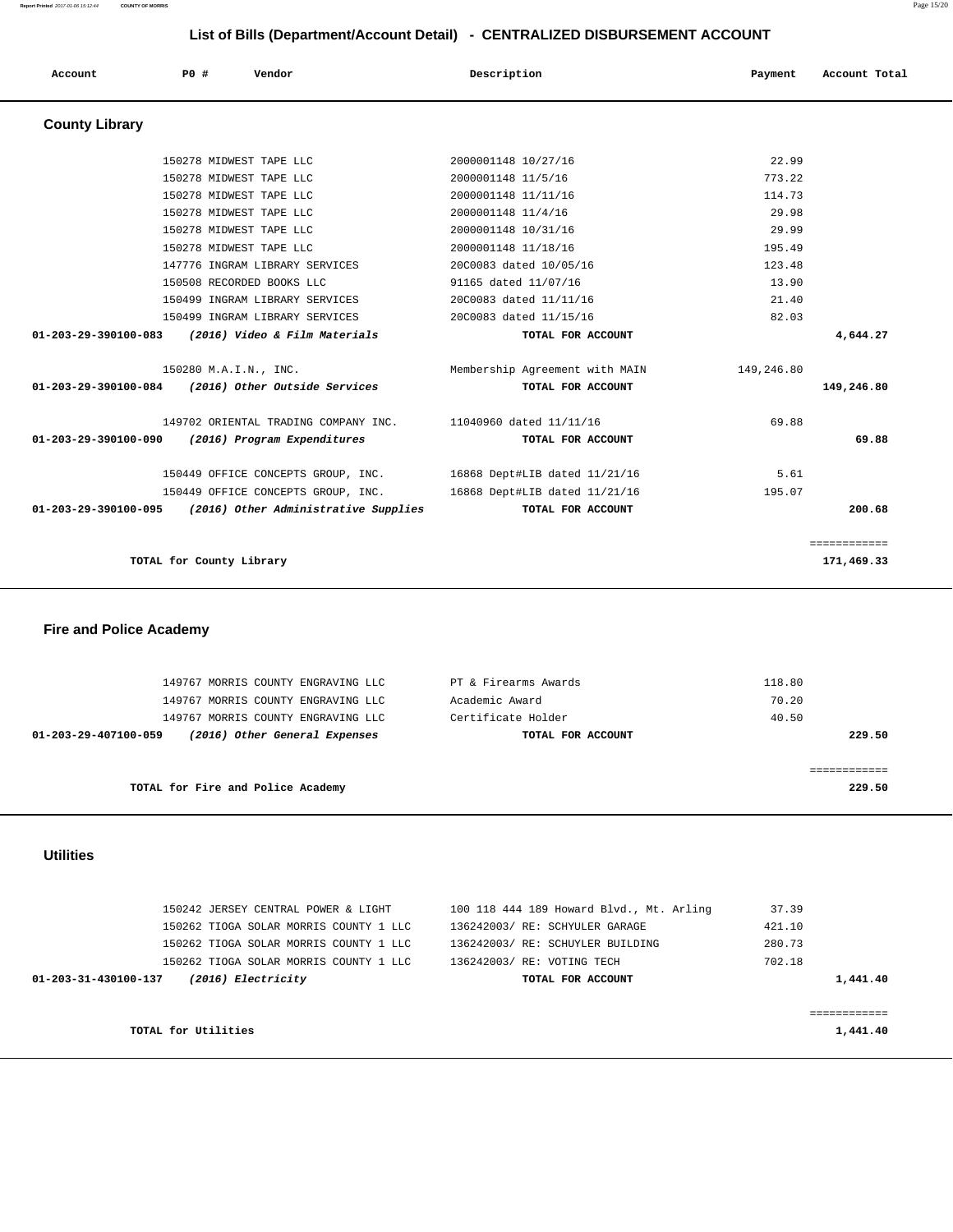150242 JERSEY CENTRAL POWER & LIGHT 100 118 444 189 Howard Blvd., Mt. Arling 37.39 150262 TIOGA SOLAR MORRIS COUNTY 1 LLC 136242003/ RE: SCHYULER GARAGE 421.10 150262 TIOGA SOLAR MORRIS COUNTY 1 LLC 136242003/ RE: SCHUYLER BUILDING 280.73 150262 TIOGA SOLAR MORRIS COUNTY 1 LLC 136242003/ RE: VOTING TECH 702.18  **01-203-31-430100-137 (2016) Electricity TOTAL FOR ACCOUNT 1,441.40** ============ **TOTAL for Utilities** 1,441.40

### **Utilities**

| 229.50 |
|--------|
|        |
|        |
| 229.50 |
|        |

### **Fire and Police Academy**

 **County Library** 

|                      | 150278 MIDWEST TAPE LLC                                      | 2000001148 10/27/16            | 22.99      |              |
|----------------------|--------------------------------------------------------------|--------------------------------|------------|--------------|
|                      | 150278 MIDWEST TAPE LLC                                      | 2000001148 11/5/16             | 773.22     |              |
|                      | 150278 MIDWEST TAPE LLC                                      | 2000001148 11/11/16            | 114.73     |              |
|                      | 150278 MIDWEST TAPE LLC                                      | 2000001148 11/4/16             | 29.98      |              |
|                      | 150278 MIDWEST TAPE LLC                                      | 2000001148 10/31/16            | 29.99      |              |
|                      | 150278 MIDWEST TAPE LLC                                      | 2000001148 11/18/16            | 195.49     |              |
|                      | 147776 INGRAM LIBRARY SERVICES                               | 20C0083 dated 10/05/16         | 123.48     |              |
|                      | 150508 RECORDED BOOKS LLC                                    | 91165 dated 11/07/16           | 13.90      |              |
|                      | 150499 INGRAM LIBRARY SERVICES                               | 20C0083 dated 11/11/16         | 21.40      |              |
|                      | 150499 INGRAM LIBRARY SERVICES                               | 20C0083 dated 11/15/16         | 82.03      |              |
|                      | 01-203-29-390100-083 (2016) Video & Film Materials           | TOTAL FOR ACCOUNT              |            | 4,644.27     |
|                      | 150280 M.A.I.N., INC.                                        | Membership Agreement with MAIN | 149,246.80 |              |
|                      | 01-203-29-390100-084 (2016) Other Outside Services           | TOTAL FOR ACCOUNT              |            | 149,246.80   |
|                      | 149702 ORIENTAL TRADING COMPANY INC. 11040960 dated 11/11/16 |                                | 69.88      |              |
| 01-203-29-390100-090 | (2016) Program Expenditures                                  | TOTAL FOR ACCOUNT              |            | 69.88        |
|                      | 150449 OFFICE CONCEPTS GROUP, INC.                           | 16868 Dept#LIB dated 11/21/16  | 5.61       |              |
|                      | 150449 OFFICE CONCEPTS GROUP, INC.                           | 16868 Dept#LIB dated 11/21/16  | 195.07     |              |
|                      | 01-203-29-390100-095 (2016) Other Administrative Supplies    | TOTAL FOR ACCOUNT              |            | 200.68       |
|                      |                                                              |                                |            | ============ |
|                      | TOTAL for County Library                                     |                                |            | 171,469.33   |

 **Account P0 # Vendor Description Payment Account Total**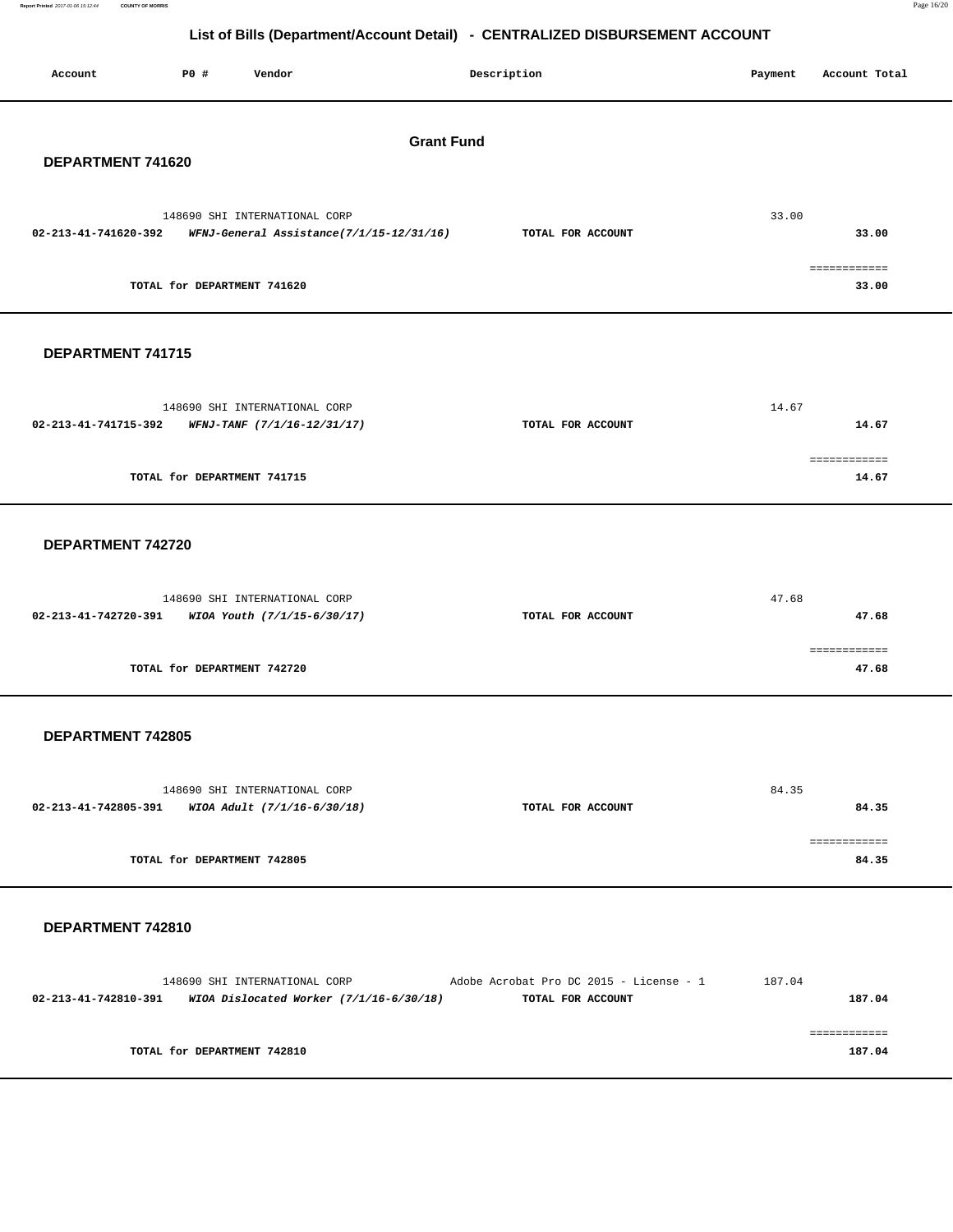| Report Printed 2017-01-06 15:12:44 COUNTY OF MORRIS | Page 16/20 |  |
|-----------------------------------------------------|------------|--|
|                                                     |            |  |

| P0 #<br>Vendor<br>Account                                                                                   | Description                                                           | Payment | Account Total          |
|-------------------------------------------------------------------------------------------------------------|-----------------------------------------------------------------------|---------|------------------------|
| DEPARTMENT 741620                                                                                           | <b>Grant Fund</b>                                                     |         |                        |
| 148690 SHI INTERNATIONAL CORP<br>02-213-41-741620-392<br>WFNJ-General Assistance(7/1/15-12/31/16)           | TOTAL FOR ACCOUNT                                                     | 33.00   | 33.00                  |
| TOTAL for DEPARTMENT 741620                                                                                 |                                                                       |         | ============<br>33.00  |
| DEPARTMENT 741715                                                                                           |                                                                       |         |                        |
| 148690 SHI INTERNATIONAL CORP<br>02-213-41-741715-392<br>WFNJ-TANF (7/1/16-12/31/17)                        | TOTAL FOR ACCOUNT                                                     | 14.67   | 14.67                  |
| TOTAL for DEPARTMENT 741715                                                                                 |                                                                       |         | 14.67                  |
| DEPARTMENT 742720                                                                                           |                                                                       |         |                        |
| 148690 SHI INTERNATIONAL CORP<br>02-213-41-742720-391<br>WIOA Youth (7/1/15-6/30/17)                        | TOTAL FOR ACCOUNT                                                     | 47.68   | 47.68                  |
| TOTAL for DEPARTMENT 742720                                                                                 |                                                                       |         | 47.68                  |
| DEPARTMENT 742805                                                                                           |                                                                       |         |                        |
| 148690 SHI INTERNATIONAL CORP<br>02-213-41-742805-391 WIOA Adult (7/1/16-6/30/18)                           | TOTAL FOR ACCOUNT                                                     | 84.35   | 84.35                  |
| TOTAL for DEPARTMENT 742805                                                                                 |                                                                       |         | ============<br>84.35  |
| DEPARTMENT 742810                                                                                           |                                                                       |         |                        |
| 148690 SHI INTERNATIONAL CORP<br>$02 - 213 - 41 - 742810 - 391$ WIOA Dislocated Worker $(7/1/16 - 6/30/18)$ | Adobe Acrobat Pro DC 2015 - License - $1$ 187.04<br>TOTAL FOR ACCOUNT |         | 187.04                 |
| TOTAL for DEPARTMENT 742810                                                                                 |                                                                       |         | ============<br>187.04 |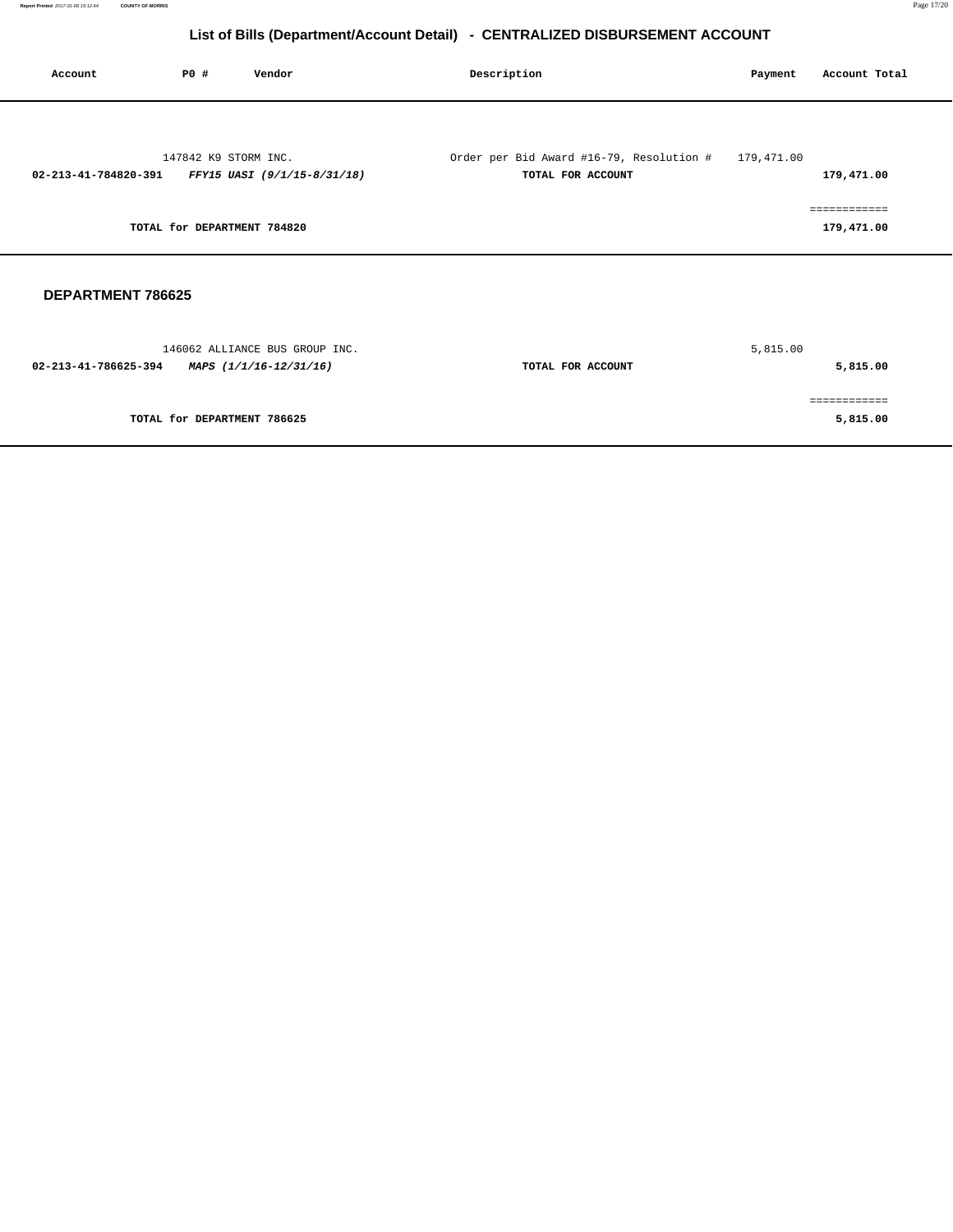| Account                                         | P0 #                        | Vendor                                           | Description                                                   | Payment    | Account Total              |  |
|-------------------------------------------------|-----------------------------|--------------------------------------------------|---------------------------------------------------------------|------------|----------------------------|--|
|                                                 |                             |                                                  |                                                               |            |                            |  |
|                                                 | 147842 K9 STORM INC.        | 02-213-41-784820-391 FFY15 UASI (9/1/15-8/31/18) | Order per Bid Award #16-79, Resolution #<br>TOTAL FOR ACCOUNT | 179,471.00 | 179,471.00                 |  |
|                                                 | TOTAL for DEPARTMENT 784820 |                                                  |                                                               |            | ============<br>179,471.00 |  |
| <b>DEPARTMENT 786625</b>                        |                             |                                                  |                                                               |            |                            |  |
| 02-213-41-786625-394 MAPS $(1/1/16 - 12/31/16)$ |                             | 146062 ALLIANCE BUS GROUP INC.                   | TOTAL FOR ACCOUNT                                             | 5,815.00   | 5,815.00                   |  |
|                                                 | TOTAL for DEPARTMENT 786625 |                                                  |                                                               |            | ============<br>5,815.00   |  |
|                                                 |                             |                                                  |                                                               |            |                            |  |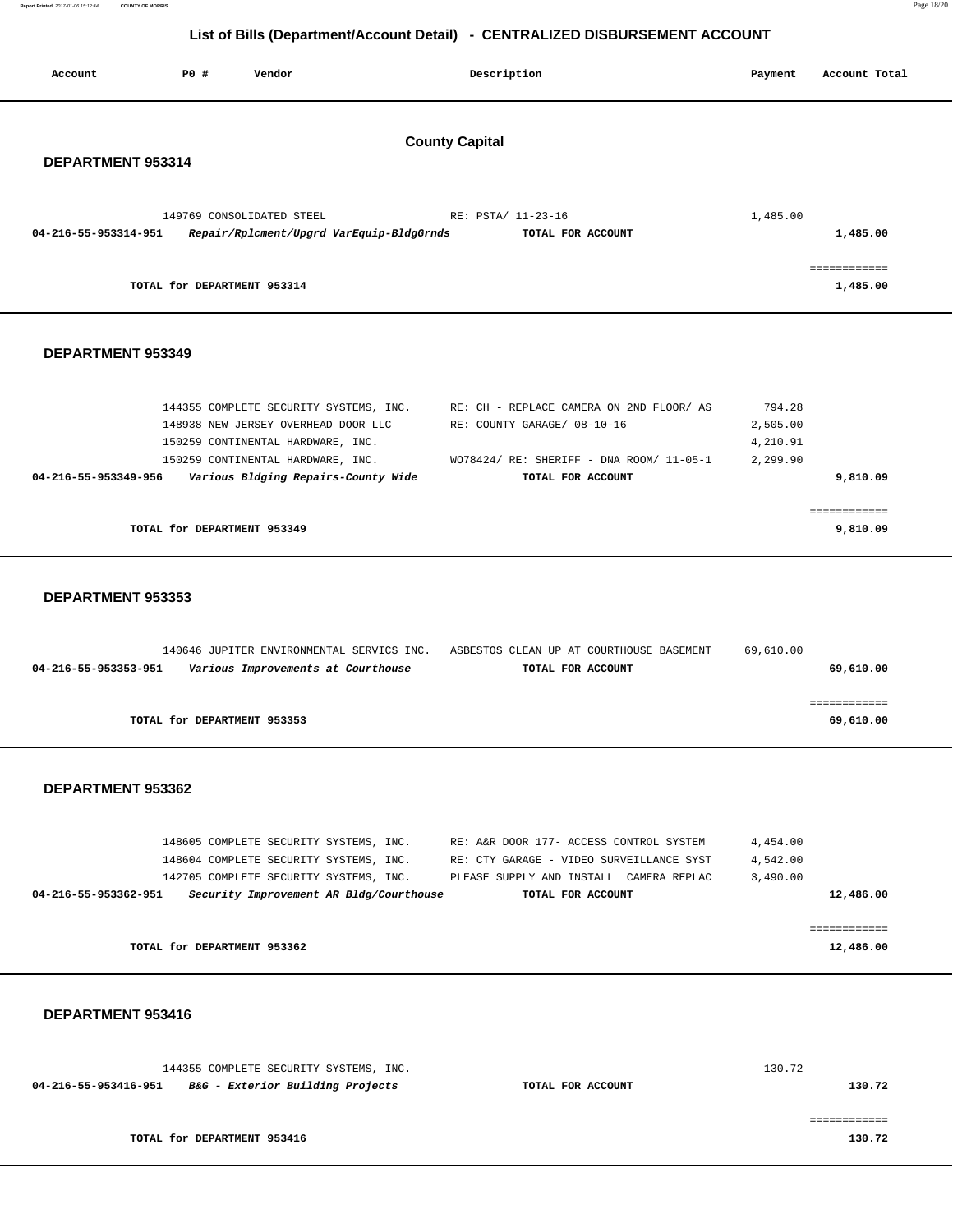| Report Printed 2017-01-06 15:12:44<br><b>COUNTY OF MORRIS</b> |                             |                                                                                                               |                                                                              |                      | Page 18/20                            |
|---------------------------------------------------------------|-----------------------------|---------------------------------------------------------------------------------------------------------------|------------------------------------------------------------------------------|----------------------|---------------------------------------|
|                                                               |                             |                                                                                                               | List of Bills (Department/Account Detail) - CENTRALIZED DISBURSEMENT ACCOUNT |                      |                                       |
| Account                                                       | P0 #                        | Vendor                                                                                                        | Description                                                                  | Payment              | Account Total                         |
|                                                               |                             |                                                                                                               | <b>County Capital</b>                                                        |                      |                                       |
| DEPARTMENT 953314                                             |                             |                                                                                                               |                                                                              |                      |                                       |
| 04-216-55-953314-951                                          |                             | 149769 CONSOLIDATED STEEL<br>Repair/Rplcment/Upgrd VarEquip-BldgGrnds                                         | RE: PSTA/ 11-23-16<br>TOTAL FOR ACCOUNT                                      | 1,485.00             | 1,485.00                              |
|                                                               | TOTAL for DEPARTMENT 953314 |                                                                                                               |                                                                              |                      | $=$ = = = = = = = = = = =<br>1,485.00 |
| <b>DEPARTMENT 953349</b>                                      |                             |                                                                                                               |                                                                              |                      |                                       |
|                                                               |                             | 144355 COMPLETE SECURITY SYSTEMS, INC.<br>148938 NEW JERSEY OVERHEAD DOOR LLC                                 | RE: CH - REPLACE CAMERA ON 2ND FLOOR/AS<br>RE: COUNTY GARAGE/ 08-10-16       | 794.28<br>2,505.00   |                                       |
| 04-216-55-953349-956                                          |                             | 150259 CONTINENTAL HARDWARE, INC.<br>150259 CONTINENTAL HARDWARE, INC.<br>Various Bldging Repairs-County Wide | WO78424/ RE: SHERIFF - DNA ROOM/ 11-05-1<br>TOTAL FOR ACCOUNT                | 4,210.91<br>2,299.90 | 9,810.09                              |
|                                                               | TOTAL for DEPARTMENT 953349 |                                                                                                               |                                                                              |                      | 9,810.09                              |
| <b>DEPARTMENT 953353</b>                                      |                             |                                                                                                               |                                                                              |                      |                                       |
| 04-216-55-953353-951                                          |                             | 140646 JUPITER ENVIRONMENTAL SERVICS INC.<br>Various Improvements at Courthouse                               | ASBESTOS CLEAN UP AT COURTHOUSE BASEMENT<br>TOTAL FOR ACCOUNT                | 69,610.00            | 69,610.00                             |
|                                                               | TOTAL for DEPARTMENT 953353 |                                                                                                               |                                                                              |                      | ------------<br>69,610.00             |
| DEPARTMENT 953362                                             |                             |                                                                                                               |                                                                              |                      |                                       |

| TOTAL for DEPARTMENT 953362 |                                         |  |  |  |                                          |               | 12,486.00 |           |
|-----------------------------|-----------------------------------------|--|--|--|------------------------------------------|---------------|-----------|-----------|
|                             |                                         |  |  |  |                                          |               |           |           |
| 04-216-55-953362-951        | Security Improvement AR Bldg/Courthouse |  |  |  | TOTAL FOR ACCOUNT                        |               |           | 12,486.00 |
|                             | 142705 COMPLETE SECURITY SYSTEMS, INC.  |  |  |  | PLEASE SUPPLY AND INSTALL                | CAMERA REPLAC | 3,490.00  |           |
|                             | 148604 COMPLETE SECURITY SYSTEMS, INC.  |  |  |  | RE: CTY GARAGE - VIDEO SURVEILLANCE SYST |               | 4,542.00  |           |
|                             | 148605 COMPLETE SECURITY SYSTEMS, INC.  |  |  |  | RE: A&R DOOR 177- ACCESS CONTROL SYSTEM  |               | 4,454.00  |           |

|  | DEPARTMENT 953416 |  |
|--|-------------------|--|
|--|-------------------|--|

|                      | 144355 COMPLETE SECURITY SYSTEMS, INC.      |                   | 130.72 |
|----------------------|---------------------------------------------|-------------------|--------|
| 04-216-55-953416-951 | <i>B&amp;G - Exterior Building Projects</i> | TOTAL FOR ACCOUNT | 130.72 |
|                      |                                             |                   |        |
|                      |                                             |                   |        |
|                      | TOTAL for DEPARTMENT 953416                 |                   | 130.72 |
|                      |                                             |                   |        |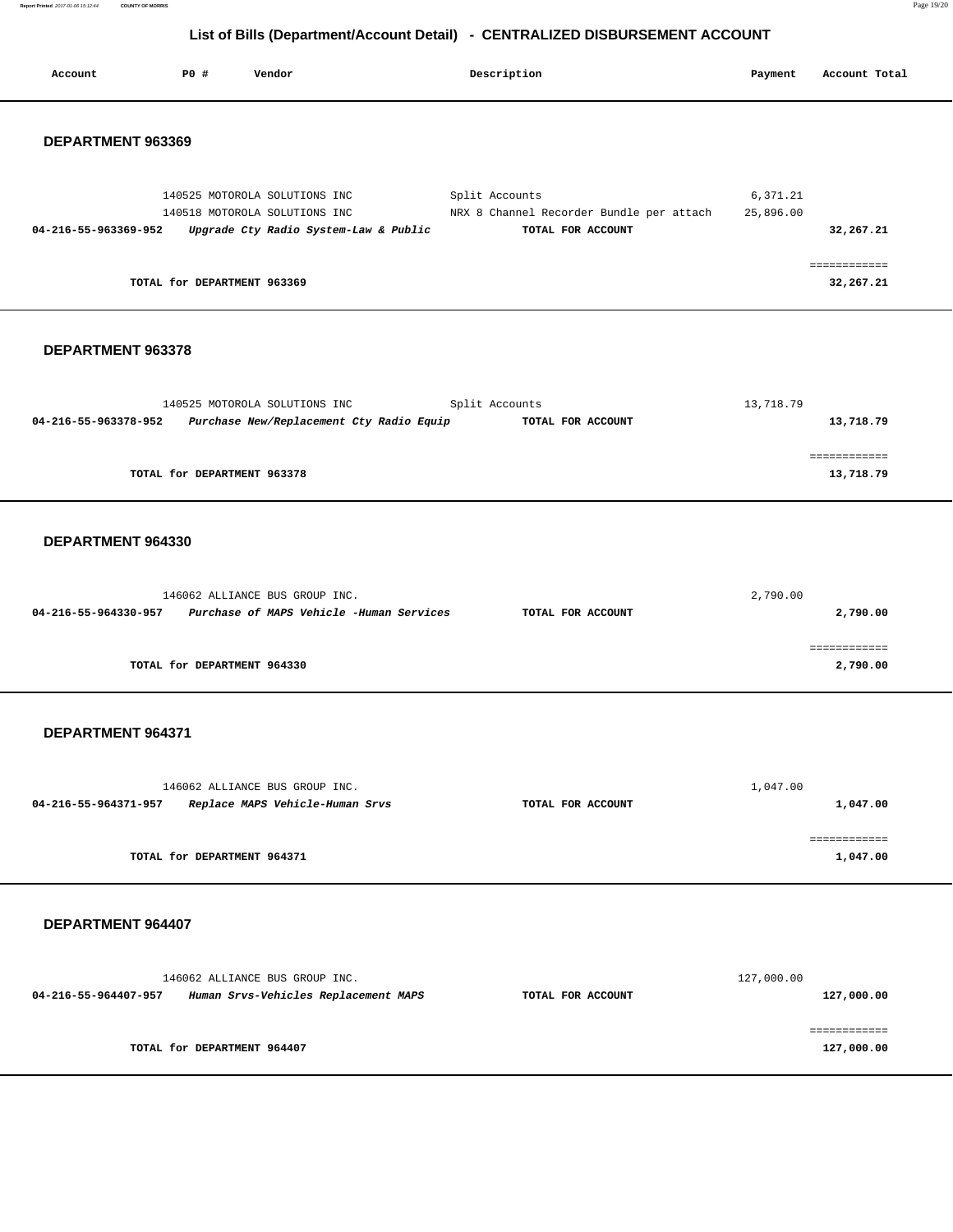**Report Printed** 2017-01-06 15:12:44 **COUNTY OF MORRIS** Page 19/20

# **List of Bills (Department/Account Detail) - CENTRALIZED DISBURSEMENT ACCOUNT**

| Account              | P0 # | Vendor                                                                                                  | Description                                                                     | Payment               | Account Total              |
|----------------------|------|---------------------------------------------------------------------------------------------------------|---------------------------------------------------------------------------------|-----------------------|----------------------------|
| DEPARTMENT 963369    |      |                                                                                                         |                                                                                 |                       |                            |
| 04-216-55-963369-952 |      | 140525 MOTOROLA SOLUTIONS INC<br>140518 MOTOROLA SOLUTIONS INC<br>Upgrade Cty Radio System-Law & Public | Split Accounts<br>NRX 8 Channel Recorder Bundle per attach<br>TOTAL FOR ACCOUNT | 6,371.21<br>25,896.00 | 32,267.21                  |
|                      |      | TOTAL for DEPARTMENT 963369                                                                             |                                                                                 |                       | ============<br>32,267.21  |
| DEPARTMENT 963378    |      |                                                                                                         |                                                                                 |                       |                            |
| 04-216-55-963378-952 |      | 140525 MOTOROLA SOLUTIONS INC<br>Purchase New/Replacement Cty Radio Equip                               | Split Accounts<br>TOTAL FOR ACCOUNT                                             | 13,718.79             | 13,718.79                  |
|                      |      | TOTAL for DEPARTMENT 963378                                                                             |                                                                                 |                       | ============<br>13,718.79  |
| DEPARTMENT 964330    |      |                                                                                                         |                                                                                 |                       |                            |
| 04-216-55-964330-957 |      | 146062 ALLIANCE BUS GROUP INC.<br>Purchase of MAPS Vehicle -Human Services                              | TOTAL FOR ACCOUNT                                                               | 2,790.00              | 2,790.00                   |
|                      |      | TOTAL for DEPARTMENT 964330                                                                             |                                                                                 |                       | ============<br>2,790.00   |
| DEPARTMENT 964371    |      |                                                                                                         |                                                                                 |                       |                            |
| 04-216-55-964371-957 |      | 146062 ALLIANCE BUS GROUP INC.<br>Replace MAPS Vehicle-Human Srvs                                       | TOTAL FOR ACCOUNT                                                               | 1,047.00              | 1,047.00                   |
|                      |      | TOTAL for DEPARTMENT 964371                                                                             |                                                                                 |                       | eeeeeeeeee<br>1,047.00     |
| DEPARTMENT 964407    |      |                                                                                                         |                                                                                 |                       |                            |
| 04-216-55-964407-957 |      | 146062 ALLIANCE BUS GROUP INC.<br>Human Srvs-Vehicles Replacement MAPS                                  | TOTAL FOR ACCOUNT                                                               | 127,000.00            | 127,000.00                 |
|                      |      | TOTAL for DEPARTMENT 964407                                                                             |                                                                                 |                       | ============<br>127,000.00 |